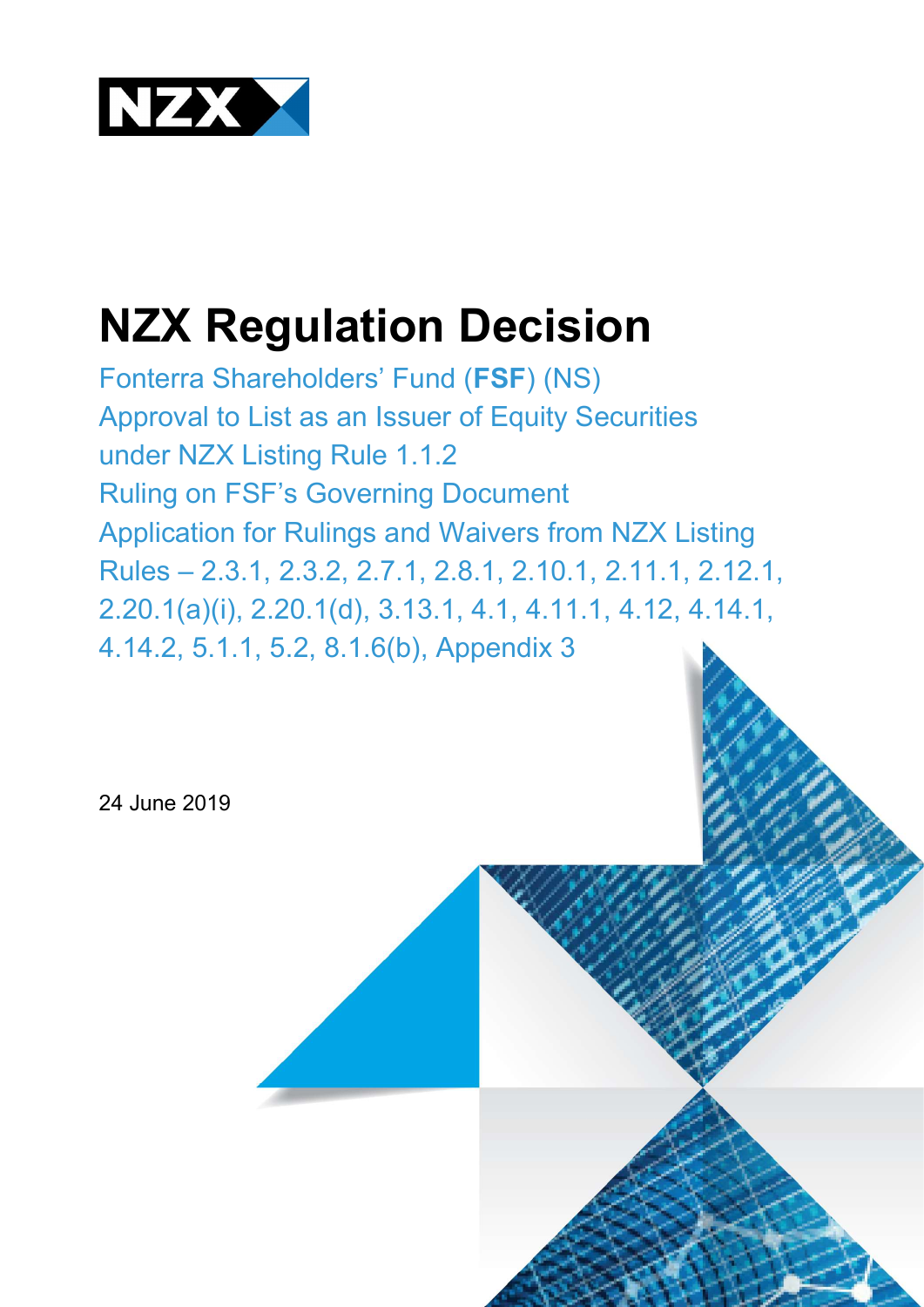

# NZX Regulation Decision

Fonterra Shareholders' Fund (FSF) (NS) Approval to List as an Issuer of Equity Securities under NZX Listing Rule 1.1.2 Ruling on FSF's Governing Document Application for Rulings and Waivers from NZX Listing Rules – 2.3.1, 2.3.2, 2.7.1, 2.8.1, 2.10.1, 2.11.1, 2.12.1, 2.20.1(a)(i), 2.20.1(d), 3.13.1, 4.1, 4.11.1, 4.12, 4.14.1, 4.14.2, 5.1.1, 5.2, 8.1.6(b), Appendix 3

24 June 2019

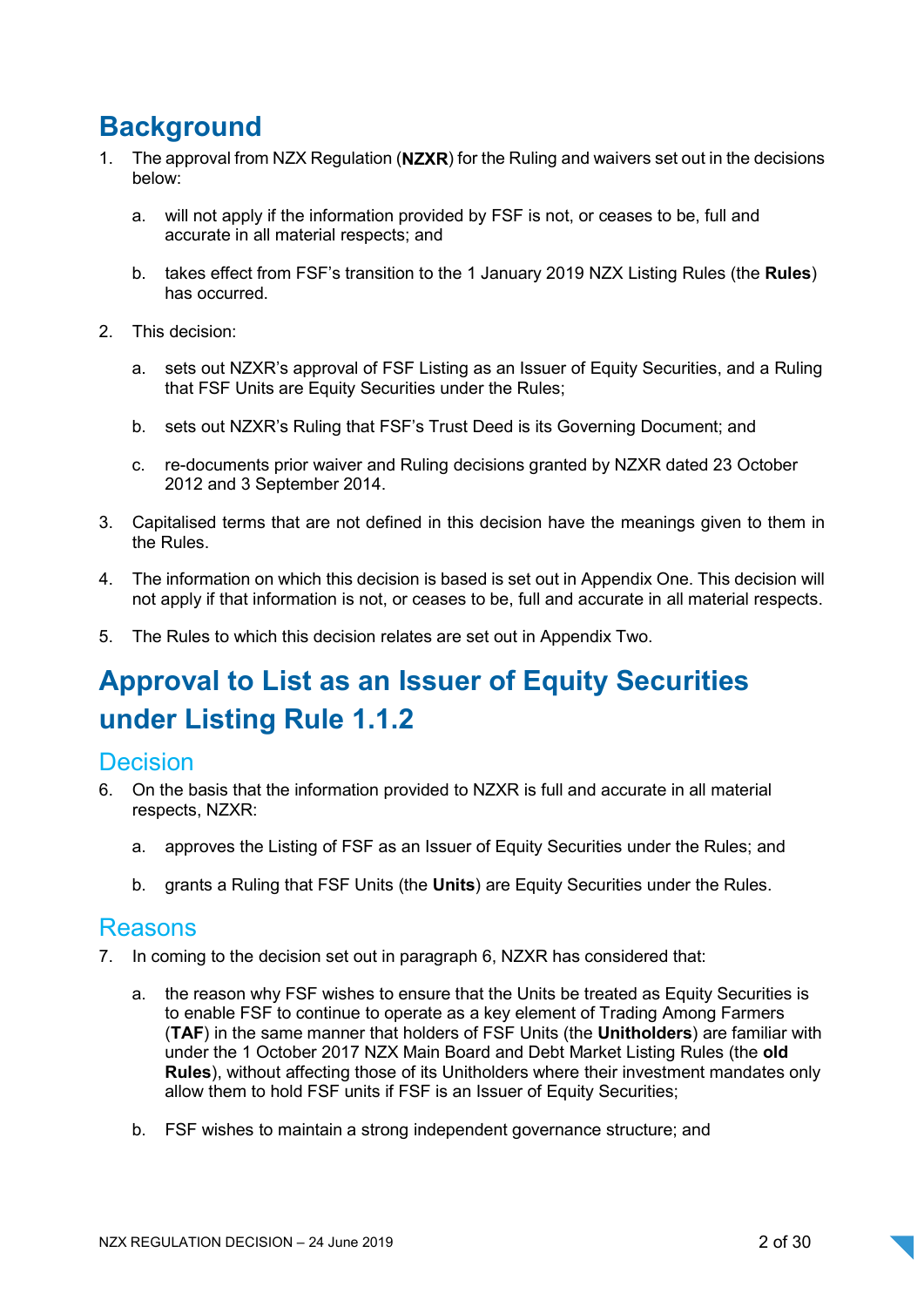## **Background**

- 1. The approval from NZX Regulation (NZXR) for the Ruling and waivers set out in the decisions below:
	- a. will not apply if the information provided by FSF is not, or ceases to be, full and accurate in all material respects; and
	- b. takes effect from FSF's transition to the 1 January 2019 NZX Listing Rules (the Rules) has occurred.
- 2. This decision:
	- a. sets out NZXR's approval of FSF Listing as an Issuer of Equity Securities, and a Ruling that FSF Units are Equity Securities under the Rules;
	- b. sets out NZXR's Ruling that FSF's Trust Deed is its Governing Document; and
	- c. re-documents prior waiver and Ruling decisions granted by NZXR dated 23 October 2012 and 3 September 2014.
- 3. Capitalised terms that are not defined in this decision have the meanings given to them in the Rules.
- 4. The information on which this decision is based is set out in Appendix One. This decision will not apply if that information is not, or ceases to be, full and accurate in all material respects.
- 5. The Rules to which this decision relates are set out in Appendix Two.

## Approval to List as an Issuer of Equity Securities under Listing Rule 1.1.2

### **Decision**

- 6. On the basis that the information provided to NZXR is full and accurate in all material respects, NZXR:
	- a. approves the Listing of FSF as an Issuer of Equity Securities under the Rules; and
	- b. grants a Ruling that FSF Units (the Units) are Equity Securities under the Rules.

### Reasons

- 7. In coming to the decision set out in paragraph 6, NZXR has considered that:
	- a. the reason why FSF wishes to ensure that the Units be treated as Equity Securities is to enable FSF to continue to operate as a key element of Trading Among Farmers (TAF) in the same manner that holders of FSF Units (the Unitholders) are familiar with under the 1 October 2017 NZX Main Board and Debt Market Listing Rules (the old Rules), without affecting those of its Unitholders where their investment mandates only allow them to hold FSF units if FSF is an Issuer of Equity Securities;
	- b. FSF wishes to maintain a strong independent governance structure; and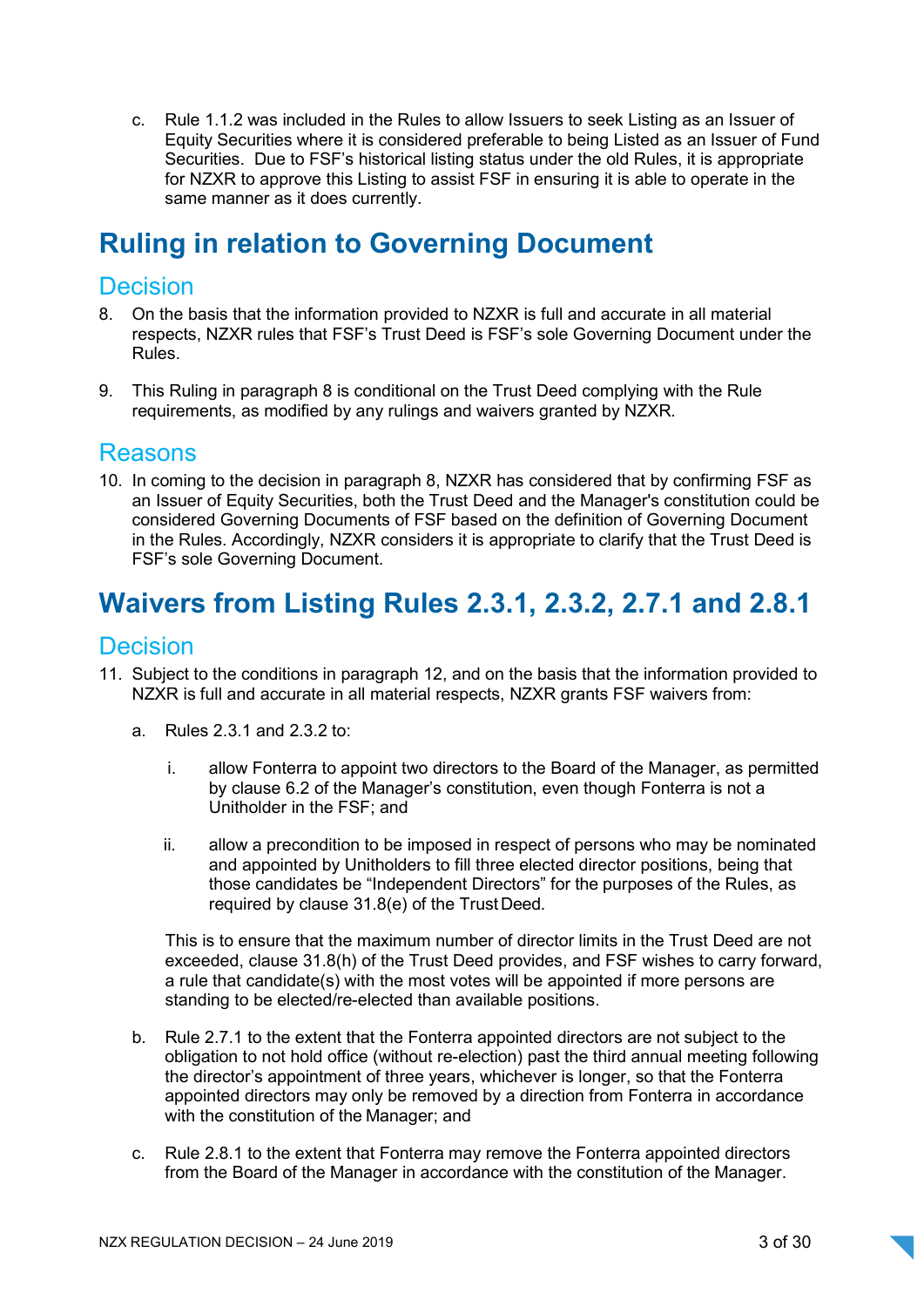c. Rule 1.1.2 was included in the Rules to allow Issuers to seek Listing as an Issuer of Equity Securities where it is considered preferable to being Listed as an Issuer of Fund Securities. Due to FSF's historical listing status under the old Rules, it is appropriate for NZXR to approve this Listing to assist FSF in ensuring it is able to operate in the same manner as it does currently.

## Ruling in relation to Governing Document

## **Decision**

- 8. On the basis that the information provided to NZXR is full and accurate in all material respects, NZXR rules that FSF's Trust Deed is FSF's sole Governing Document under the Rules.
- 9. This Ruling in paragraph 8 is conditional on the Trust Deed complying with the Rule requirements, as modified by any rulings and waivers granted by NZXR.

### Reasons

10. In coming to the decision in paragraph 8, NZXR has considered that by confirming FSF as an Issuer of Equity Securities, both the Trust Deed and the Manager's constitution could be considered Governing Documents of FSF based on the definition of Governing Document in the Rules. Accordingly, NZXR considers it is appropriate to clarify that the Trust Deed is FSF's sole Governing Document.

## Waivers from Listing Rules 2.3.1, 2.3.2, 2.7.1 and 2.8.1

### **Decision**

- 11. Subject to the conditions in paragraph 12, and on the basis that the information provided to NZXR is full and accurate in all material respects, NZXR grants FSF waivers from:
	- a. Rules 2.3.1 and 2.3.2 to:
		- i. allow Fonterra to appoint two directors to the Board of the Manager, as permitted by clause 6.2 of the Manager's constitution, even though Fonterra is not a Unitholder in the FSF; and
		- ii. allow a precondition to be imposed in respect of persons who may be nominated and appointed by Unitholders to fill three elected director positions, being that those candidates be "Independent Directors" for the purposes of the Rules, as required by clause 31.8(e) of the Trust Deed.

This is to ensure that the maximum number of director limits in the Trust Deed are not exceeded, clause 31.8(h) of the Trust Deed provides, and FSF wishes to carry forward, a rule that candidate(s) with the most votes will be appointed if more persons are standing to be elected/re-elected than available positions.

- b. Rule 2.7.1 to the extent that the Fonterra appointed directors are not subject to the obligation to not hold office (without re-election) past the third annual meeting following the director's appointment of three years, whichever is longer, so that the Fonterra appointed directors may only be removed by a direction from Fonterra in accordance with the constitution of the Manager; and
- c. Rule 2.8.1 to the extent that Fonterra may remove the Fonterra appointed directors from the Board of the Manager in accordance with the constitution of the Manager.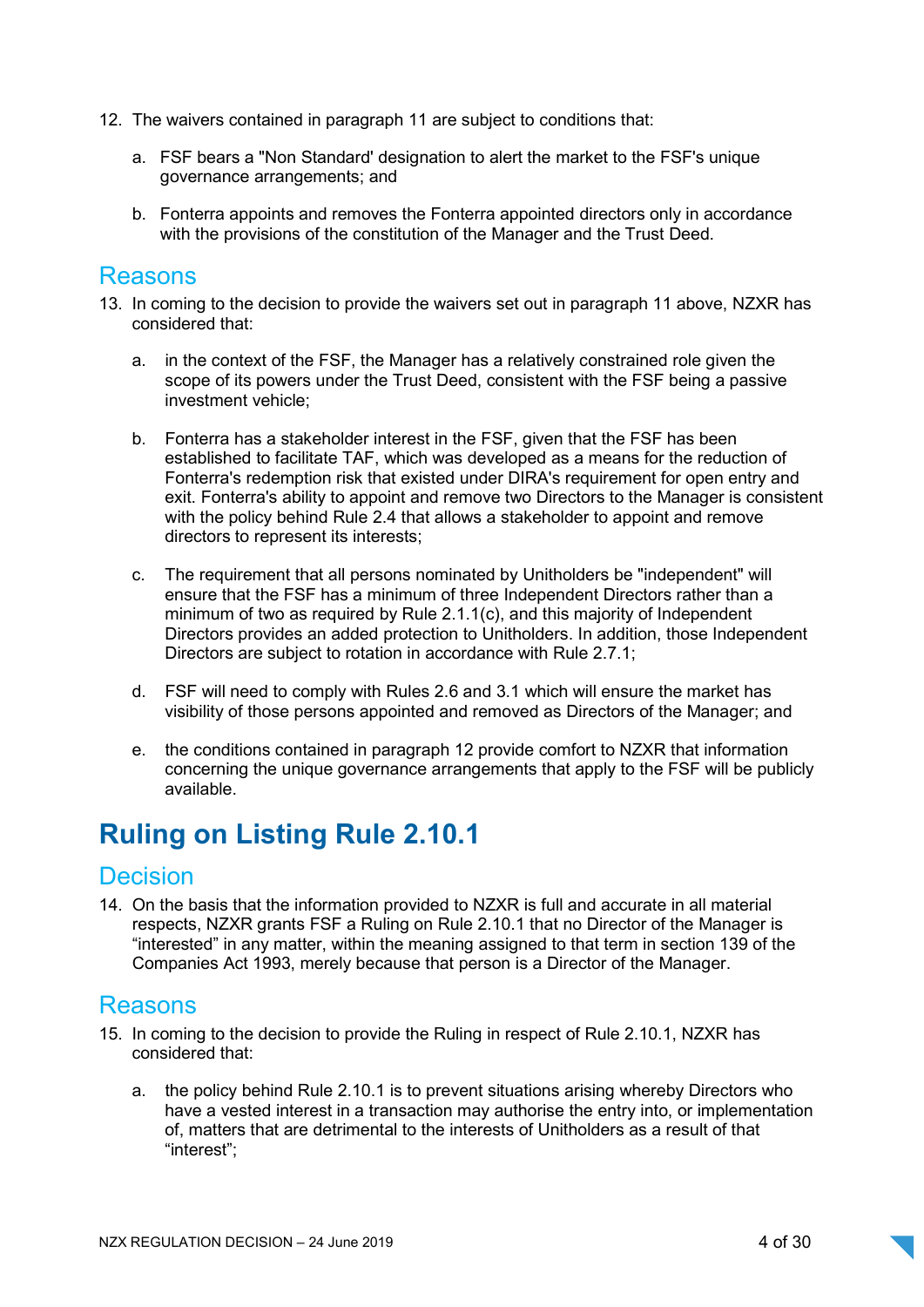- 12. The waivers contained in paragraph 11 are subject to conditions that:
	- a. FSF bears a "Non Standard' designation to alert the market to the FSF's unique governance arrangements; and
	- b. Fonterra appoints and removes the Fonterra appointed directors only in accordance with the provisions of the constitution of the Manager and the Trust Deed.

### Reasons

- 13. In coming to the decision to provide the waivers set out in paragraph 11 above, NZXR has considered that:
	- a. in the context of the FSF, the Manager has a relatively constrained role given the scope of its powers under the Trust Deed, consistent with the FSF being a passive investment vehicle;
	- b. Fonterra has a stakeholder interest in the FSF, given that the FSF has been established to facilitate TAF, which was developed as a means for the reduction of Fonterra's redemption risk that existed under DIRA's requirement for open entry and exit. Fonterra's ability to appoint and remove two Directors to the Manager is consistent with the policy behind Rule 2.4 that allows a stakeholder to appoint and remove directors to represent its interests;
	- c. The requirement that all persons nominated by Unitholders be "independent" will ensure that the FSF has a minimum of three Independent Directors rather than a minimum of two as required by Rule 2.1.1(c), and this majority of Independent Directors provides an added protection to Unitholders. In addition, those Independent Directors are subject to rotation in accordance with Rule 2.7.1;
	- d. FSF will need to comply with Rules 2.6 and 3.1 which will ensure the market has visibility of those persons appointed and removed as Directors of the Manager; and
	- e. the conditions contained in paragraph 12 provide comfort to NZXR that information concerning the unique governance arrangements that apply to the FSF will be publicly available.

## Ruling on Listing Rule 2.10.1

### **Decision**

14. On the basis that the information provided to NZXR is full and accurate in all material respects, NZXR grants FSF a Ruling on Rule 2.10.1 that no Director of the Manager is "interested" in any matter, within the meaning assigned to that term in section 139 of the Companies Act 1993, merely because that person is a Director of the Manager.

### Reasons

- 15. In coming to the decision to provide the Ruling in respect of Rule 2.10.1, NZXR has considered that:
	- a. the policy behind Rule 2.10.1 is to prevent situations arising whereby Directors who have a vested interest in a transaction may authorise the entry into, or implementation of, matters that are detrimental to the interests of Unitholders as a result of that "interest";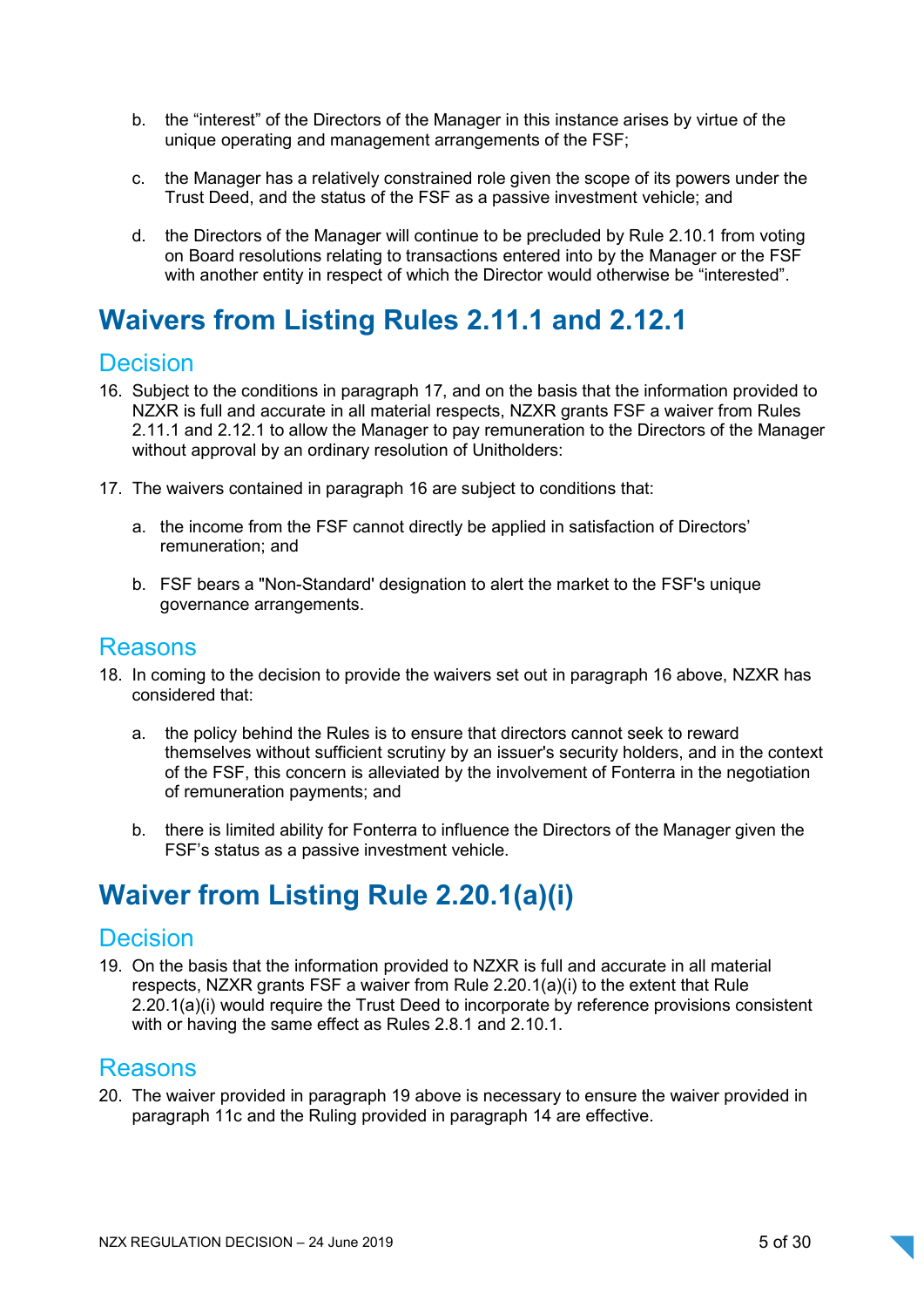- b. the "interest" of the Directors of the Manager in this instance arises by virtue of the unique operating and management arrangements of the FSF;
- c. the Manager has a relatively constrained role given the scope of its powers under the Trust Deed, and the status of the FSF as a passive investment vehicle; and
- d. the Directors of the Manager will continue to be precluded by Rule 2.10.1 from voting on Board resolutions relating to transactions entered into by the Manager or the FSF with another entity in respect of which the Director would otherwise be "interested".

## Waivers from Listing Rules 2.11.1 and 2.12.1

### Decision

- 16. Subject to the conditions in paragraph 17, and on the basis that the information provided to NZXR is full and accurate in all material respects, NZXR grants FSF a waiver from Rules 2.11.1 and 2.12.1 to allow the Manager to pay remuneration to the Directors of the Manager without approval by an ordinary resolution of Unitholders:
- 17. The waivers contained in paragraph 16 are subject to conditions that:
	- a. the income from the FSF cannot directly be applied in satisfaction of Directors' remuneration; and
	- b. FSF bears a "Non-Standard' designation to alert the market to the FSF's unique governance arrangements.

### Reasons

- 18. In coming to the decision to provide the waivers set out in paragraph 16 above, NZXR has considered that:
	- a. the policy behind the Rules is to ensure that directors cannot seek to reward themselves without sufficient scrutiny by an issuer's security holders, and in the context of the FSF, this concern is alleviated by the involvement of Fonterra in the negotiation of remuneration payments; and
	- b. there is limited ability for Fonterra to influence the Directors of the Manager given the FSF's status as a passive investment vehicle.

## Waiver from Listing Rule 2.20.1(a)(i)

### **Decision**

19. On the basis that the information provided to NZXR is full and accurate in all material respects, NZXR grants FSF a waiver from Rule 2.20.1(a)(i) to the extent that Rule 2.20.1(a)(i) would require the Trust Deed to incorporate by reference provisions consistent with or having the same effect as Rules 2.8.1 and 2.10.1.

### Reasons

20. The waiver provided in paragraph 19 above is necessary to ensure the waiver provided in paragraph 11c and the Ruling provided in paragraph 14 are effective.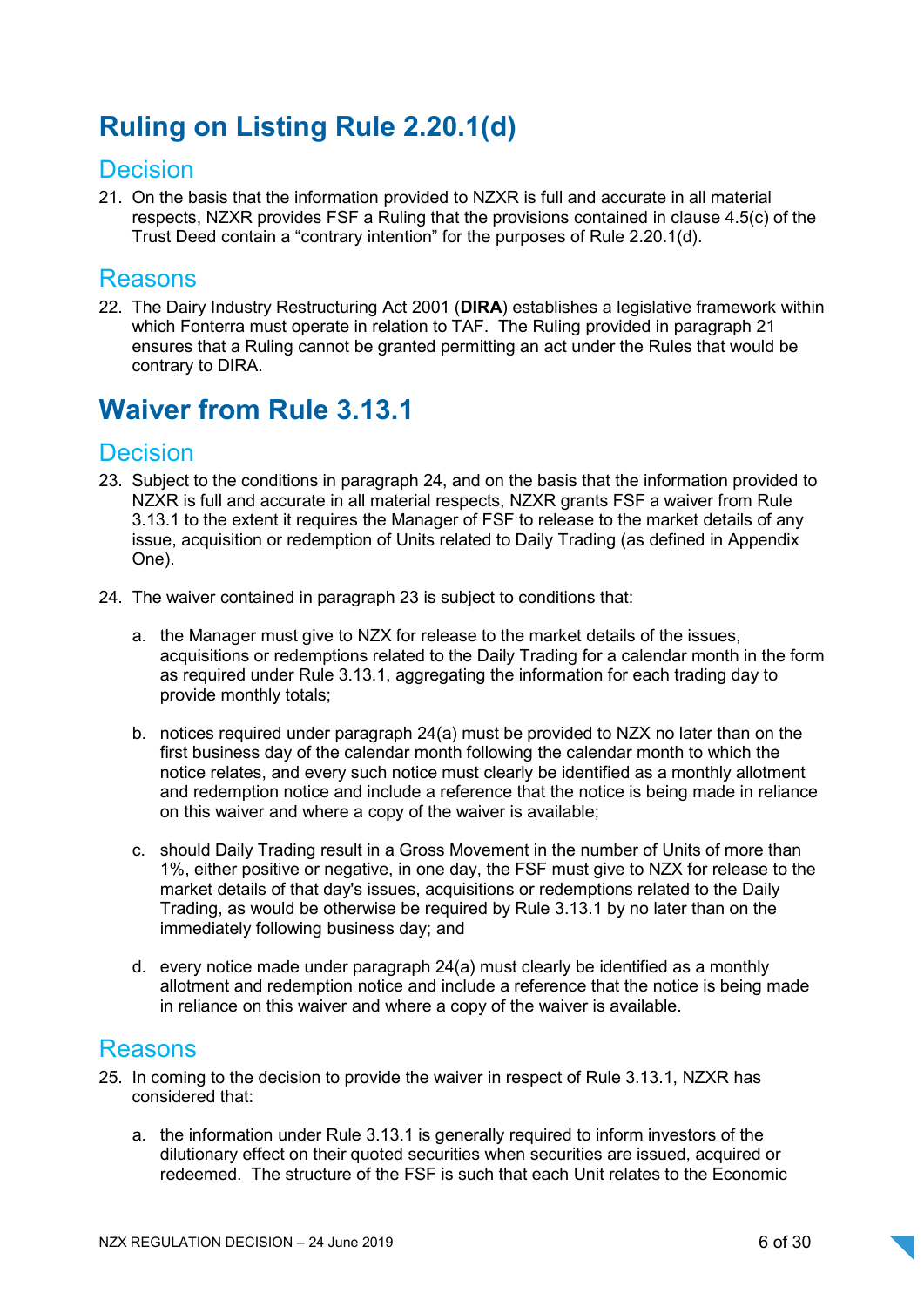## Ruling on Listing Rule 2.20.1(d)

## **Decision**

21. On the basis that the information provided to NZXR is full and accurate in all material respects, NZXR provides FSF a Ruling that the provisions contained in clause 4.5(c) of the Trust Deed contain a "contrary intention" for the purposes of Rule 2.20.1(d).

## Reasons

22. The Dairy Industry Restructuring Act 2001 (DIRA) establishes a legislative framework within which Fonterra must operate in relation to TAF. The Ruling provided in paragraph 21 ensures that a Ruling cannot be granted permitting an act under the Rules that would be contrary to DIRA.

## Waiver from Rule 3.13.1

## **Decision**

- 23. Subject to the conditions in paragraph 24, and on the basis that the information provided to NZXR is full and accurate in all material respects, NZXR grants FSF a waiver from Rule 3.13.1 to the extent it requires the Manager of FSF to release to the market details of any issue, acquisition or redemption of Units related to Daily Trading (as defined in Appendix One).
- 24. The waiver contained in paragraph 23 is subject to conditions that:
	- a. the Manager must give to NZX for release to the market details of the issues, acquisitions or redemptions related to the Daily Trading for a calendar month in the form as required under Rule 3.13.1, aggregating the information for each trading day to provide monthly totals;
	- b. notices required under paragraph 24(a) must be provided to NZX no later than on the first business day of the calendar month following the calendar month to which the notice relates, and every such notice must clearly be identified as a monthly allotment and redemption notice and include a reference that the notice is being made in reliance on this waiver and where a copy of the waiver is available;
	- c. should Daily Trading result in a Gross Movement in the number of Units of more than 1%, either positive or negative, in one day, the FSF must give to NZX for release to the market details of that day's issues, acquisitions or redemptions related to the Daily Trading, as would be otherwise be required by Rule 3.13.1 by no later than on the immediately following business day; and
	- d. every notice made under paragraph 24(a) must clearly be identified as a monthly allotment and redemption notice and include a reference that the notice is being made in reliance on this waiver and where a copy of the waiver is available.

## Reasons

- 25. In coming to the decision to provide the waiver in respect of Rule 3.13.1, NZXR has considered that:
	- a. the information under Rule 3.13.1 is generally required to inform investors of the dilutionary effect on their quoted securities when securities are issued, acquired or redeemed. The structure of the FSF is such that each Unit relates to the Economic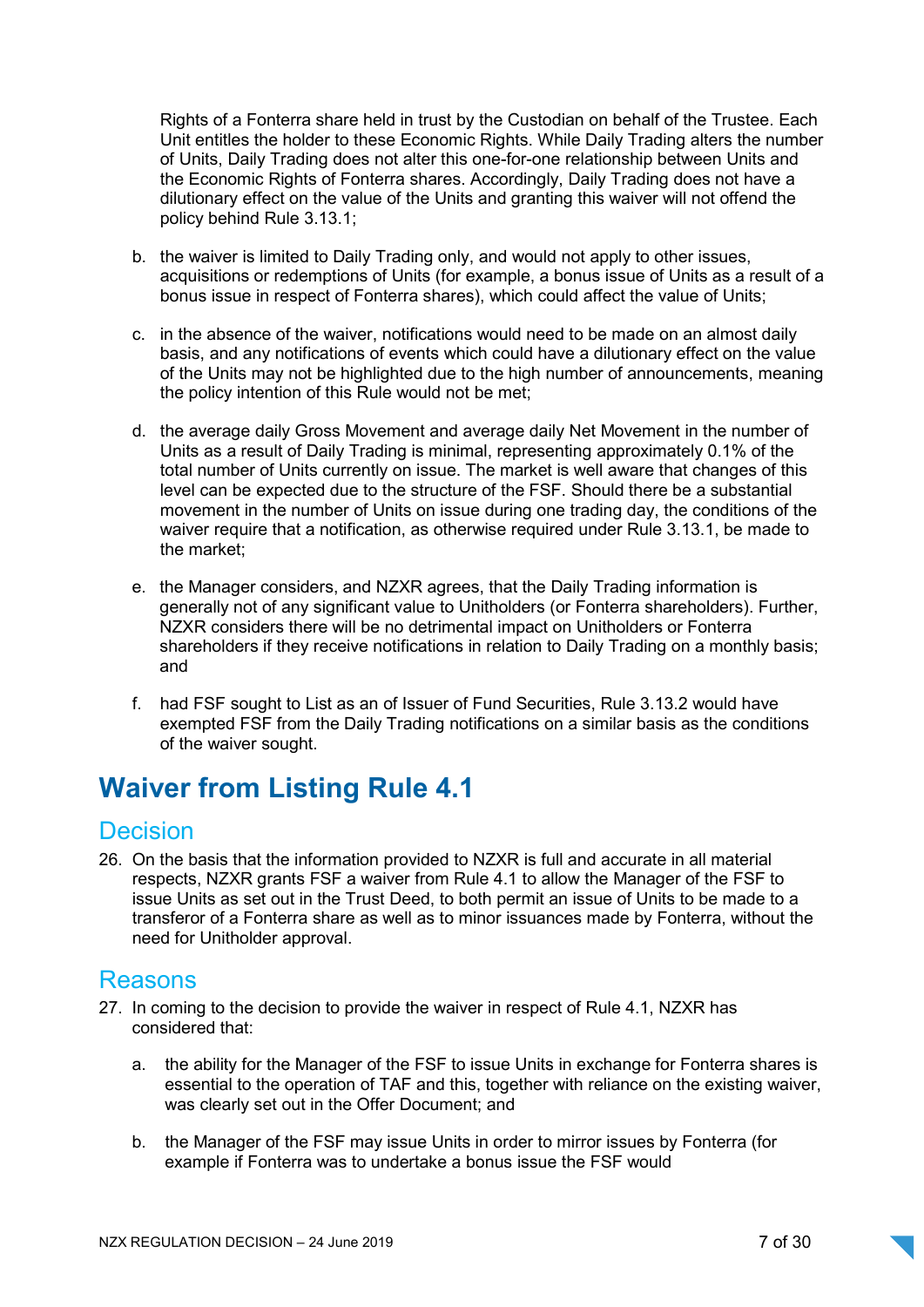Rights of a Fonterra share held in trust by the Custodian on behalf of the Trustee. Each Unit entitles the holder to these Economic Rights. While Daily Trading alters the number of Units, Daily Trading does not alter this one-for-one relationship between Units and the Economic Rights of Fonterra shares. Accordingly, Daily Trading does not have a dilutionary effect on the value of the Units and granting this waiver will not offend the policy behind Rule 3.13.1;

- b. the waiver is limited to Daily Trading only, and would not apply to other issues, acquisitions or redemptions of Units (for example, a bonus issue of Units as a result of a bonus issue in respect of Fonterra shares), which could affect the value of Units;
- c. in the absence of the waiver, notifications would need to be made on an almost daily basis, and any notifications of events which could have a dilutionary effect on the value of the Units may not be highlighted due to the high number of announcements, meaning the policy intention of this Rule would not be met;
- d. the average daily Gross Movement and average daily Net Movement in the number of Units as a result of Daily Trading is minimal, representing approximately 0.1% of the total number of Units currently on issue. The market is well aware that changes of this level can be expected due to the structure of the FSF. Should there be a substantial movement in the number of Units on issue during one trading day, the conditions of the waiver require that a notification, as otherwise required under Rule 3.13.1, be made to the market;
- e. the Manager considers, and NZXR agrees, that the Daily Trading information is generally not of any significant value to Unitholders (or Fonterra shareholders). Further, NZXR considers there will be no detrimental impact on Unitholders or Fonterra shareholders if they receive notifications in relation to Daily Trading on a monthly basis; and
- f. had FSF sought to List as an of Issuer of Fund Securities, Rule 3.13.2 would have exempted FSF from the Daily Trading notifications on a similar basis as the conditions of the waiver sought.

## Waiver from Listing Rule 4.1

## **Decision**

26. On the basis that the information provided to NZXR is full and accurate in all material respects, NZXR grants FSF a waiver from Rule 4.1 to allow the Manager of the FSF to issue Units as set out in the Trust Deed, to both permit an issue of Units to be made to a transferor of a Fonterra share as well as to minor issuances made by Fonterra, without the need for Unitholder approval.

## Reasons

- 27. In coming to the decision to provide the waiver in respect of Rule 4.1, NZXR has considered that:
	- a. the ability for the Manager of the FSF to issue Units in exchange for Fonterra shares is essential to the operation of TAF and this, together with reliance on the existing waiver, was clearly set out in the Offer Document; and
	- b. the Manager of the FSF may issue Units in order to mirror issues by Fonterra (for example if Fonterra was to undertake a bonus issue the FSF would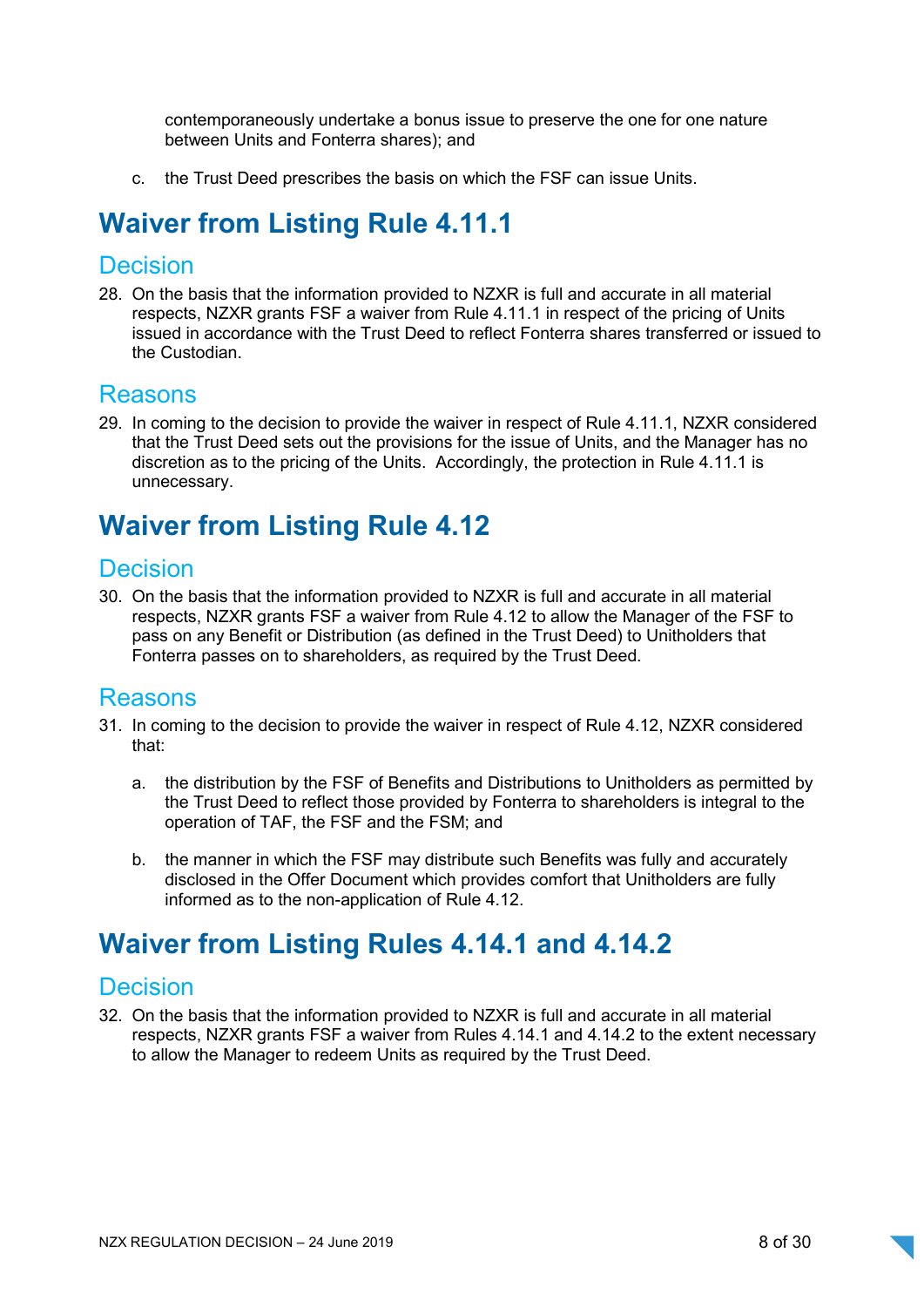contemporaneously undertake a bonus issue to preserve the one for one nature between Units and Fonterra shares); and

c. the Trust Deed prescribes the basis on which the FSF can issue Units.

## Waiver from Listing Rule 4.11.1

### Decision

28. On the basis that the information provided to NZXR is full and accurate in all material respects, NZXR grants FSF a waiver from Rule 4.11.1 in respect of the pricing of Units issued in accordance with the Trust Deed to reflect Fonterra shares transferred or issued to the Custodian.

### Reasons

29. In coming to the decision to provide the waiver in respect of Rule 4.11.1, NZXR considered that the Trust Deed sets out the provisions for the issue of Units, and the Manager has no discretion as to the pricing of the Units. Accordingly, the protection in Rule 4.11.1 is unnecessary.

## Waiver from Listing Rule 4.12

### **Decision**

30. On the basis that the information provided to NZXR is full and accurate in all material respects, NZXR grants FSF a waiver from Rule 4.12 to allow the Manager of the FSF to pass on any Benefit or Distribution (as defined in the Trust Deed) to Unitholders that Fonterra passes on to shareholders, as required by the Trust Deed.

### Reasons

- 31. In coming to the decision to provide the waiver in respect of Rule 4.12, NZXR considered that:
	- a. the distribution by the FSF of Benefits and Distributions to Unitholders as permitted by the Trust Deed to reflect those provided by Fonterra to shareholders is integral to the operation of TAF, the FSF and the FSM; and
	- b. the manner in which the FSF may distribute such Benefits was fully and accurately disclosed in the Offer Document which provides comfort that Unitholders are fully informed as to the non-application of Rule 4.12.

## Waiver from Listing Rules 4.14.1 and 4.14.2

## **Decision**

32. On the basis that the information provided to NZXR is full and accurate in all material respects, NZXR grants FSF a waiver from Rules 4.14.1 and 4.14.2 to the extent necessary to allow the Manager to redeem Units as required by the Trust Deed.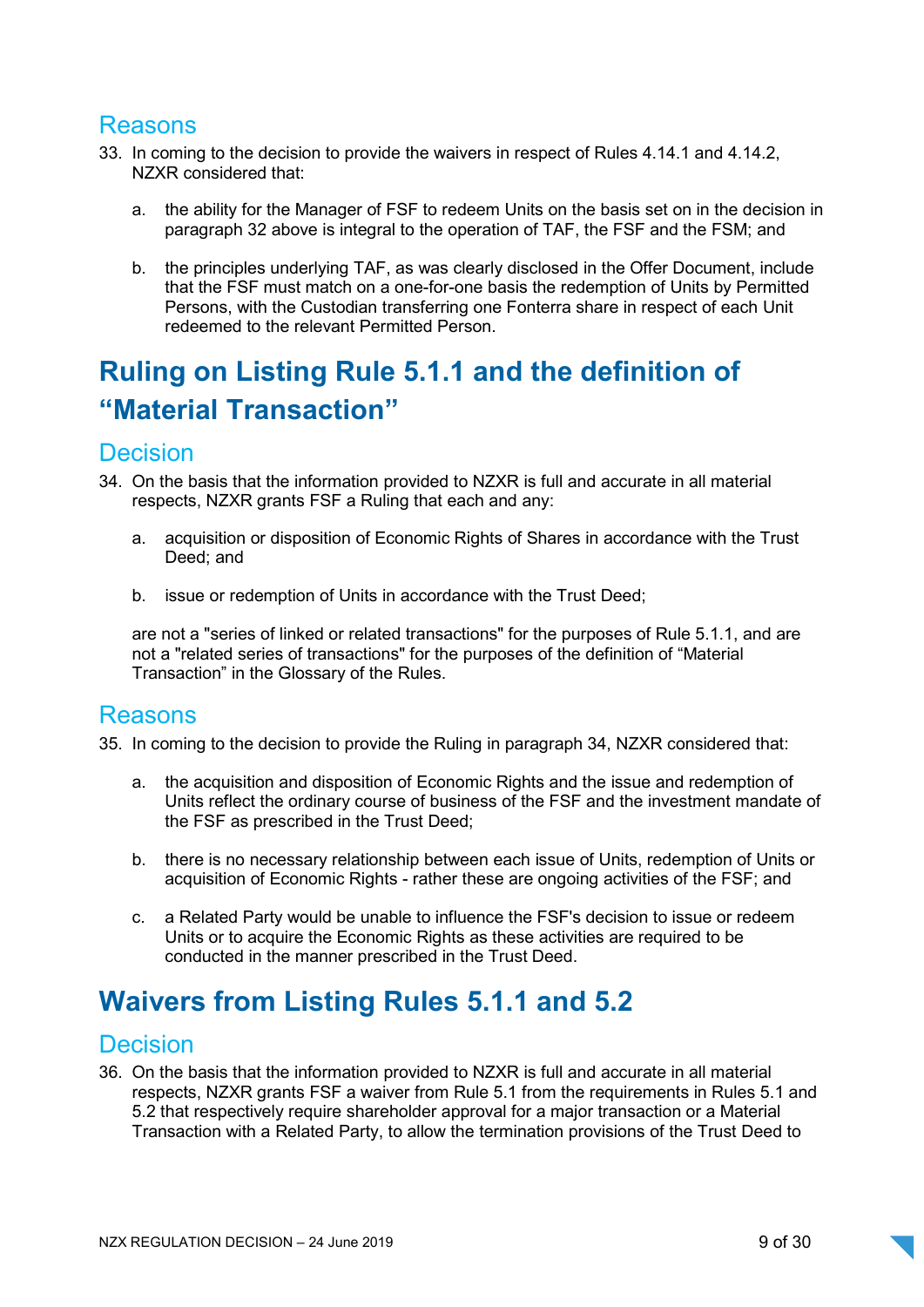## Reasons

- 33. In coming to the decision to provide the waivers in respect of Rules 4.14.1 and 4.14.2, NZXR considered that:
	- a. the ability for the Manager of FSF to redeem Units on the basis set on in the decision in paragraph 32 above is integral to the operation of TAF, the FSF and the FSM; and
	- b. the principles underlying TAF, as was clearly disclosed in the Offer Document, include that the FSF must match on a one-for-one basis the redemption of Units by Permitted Persons, with the Custodian transferring one Fonterra share in respect of each Unit redeemed to the relevant Permitted Person.

## Ruling on Listing Rule 5.1.1 and the definition of "Material Transaction"

### Decision

- 34. On the basis that the information provided to NZXR is full and accurate in all material respects, NZXR grants FSF a Ruling that each and any:
	- a. acquisition or disposition of Economic Rights of Shares in accordance with the Trust Deed; and
	- b. issue or redemption of Units in accordance with the Trust Deed;

are not a "series of linked or related transactions" for the purposes of Rule 5.1.1, and are not a "related series of transactions" for the purposes of the definition of "Material Transaction" in the Glossary of the Rules.

### Reasons

35. In coming to the decision to provide the Ruling in paragraph 34, NZXR considered that:

- a. the acquisition and disposition of Economic Rights and the issue and redemption of Units reflect the ordinary course of business of the FSF and the investment mandate of the FSF as prescribed in the Trust Deed;
- b. there is no necessary relationship between each issue of Units, redemption of Units or acquisition of Economic Rights - rather these are ongoing activities of the FSF; and
- c. a Related Party would be unable to influence the FSF's decision to issue or redeem Units or to acquire the Economic Rights as these activities are required to be conducted in the manner prescribed in the Trust Deed.

## Waivers from Listing Rules 5.1.1 and 5.2

### **Decision**

36. On the basis that the information provided to NZXR is full and accurate in all material respects, NZXR grants FSF a waiver from Rule 5.1 from the requirements in Rules 5.1 and 5.2 that respectively require shareholder approval for a major transaction or a Material Transaction with a Related Party, to allow the termination provisions of the Trust Deed to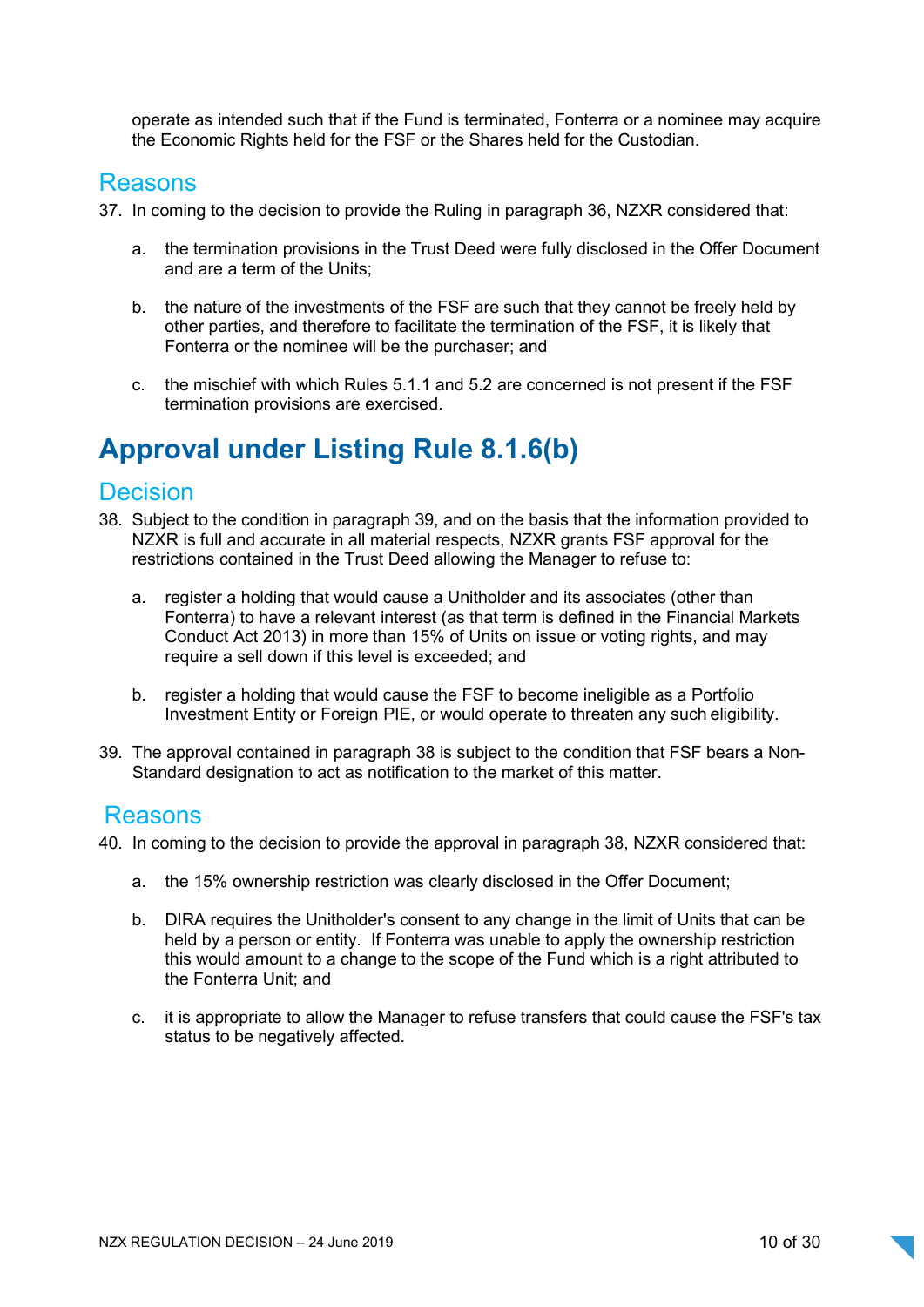operate as intended such that if the Fund is terminated, Fonterra or a nominee may acquire the Economic Rights held for the FSF or the Shares held for the Custodian.

### Reasons

- 37. In coming to the decision to provide the Ruling in paragraph 36, NZXR considered that:
	- a. the termination provisions in the Trust Deed were fully disclosed in the Offer Document and are a term of the Units;
	- b. the nature of the investments of the FSF are such that they cannot be freely held by other parties, and therefore to facilitate the termination of the FSF, it is likely that Fonterra or the nominee will be the purchaser; and
	- c. the mischief with which Rules 5.1.1 and 5.2 are concerned is not present if the FSF termination provisions are exercised.

## Approval under Listing Rule 8.1.6(b)

## **Decision**

- 38. Subject to the condition in paragraph 39, and on the basis that the information provided to NZXR is full and accurate in all material respects, NZXR grants FSF approval for the restrictions contained in the Trust Deed allowing the Manager to refuse to:
	- a. register a holding that would cause a Unitholder and its associates (other than Fonterra) to have a relevant interest (as that term is defined in the Financial Markets Conduct Act 2013) in more than 15% of Units on issue or voting rights, and may require a sell down if this level is exceeded; and
	- b. register a holding that would cause the FSF to become ineligible as a Portfolio Investment Entity or Foreign PIE, or would operate to threaten any such eligibility.
- 39. The approval contained in paragraph 38 is subject to the condition that FSF bears a Non-Standard designation to act as notification to the market of this matter.

### Reasons

- 40. In coming to the decision to provide the approval in paragraph 38, NZXR considered that:
	- a. the 15% ownership restriction was clearly disclosed in the Offer Document;
	- b. DIRA requires the Unitholder's consent to any change in the limit of Units that can be held by a person or entity. If Fonterra was unable to apply the ownership restriction this would amount to a change to the scope of the Fund which is a right attributed to the Fonterra Unit; and
	- c. it is appropriate to allow the Manager to refuse transfers that could cause the FSF's tax status to be negatively affected.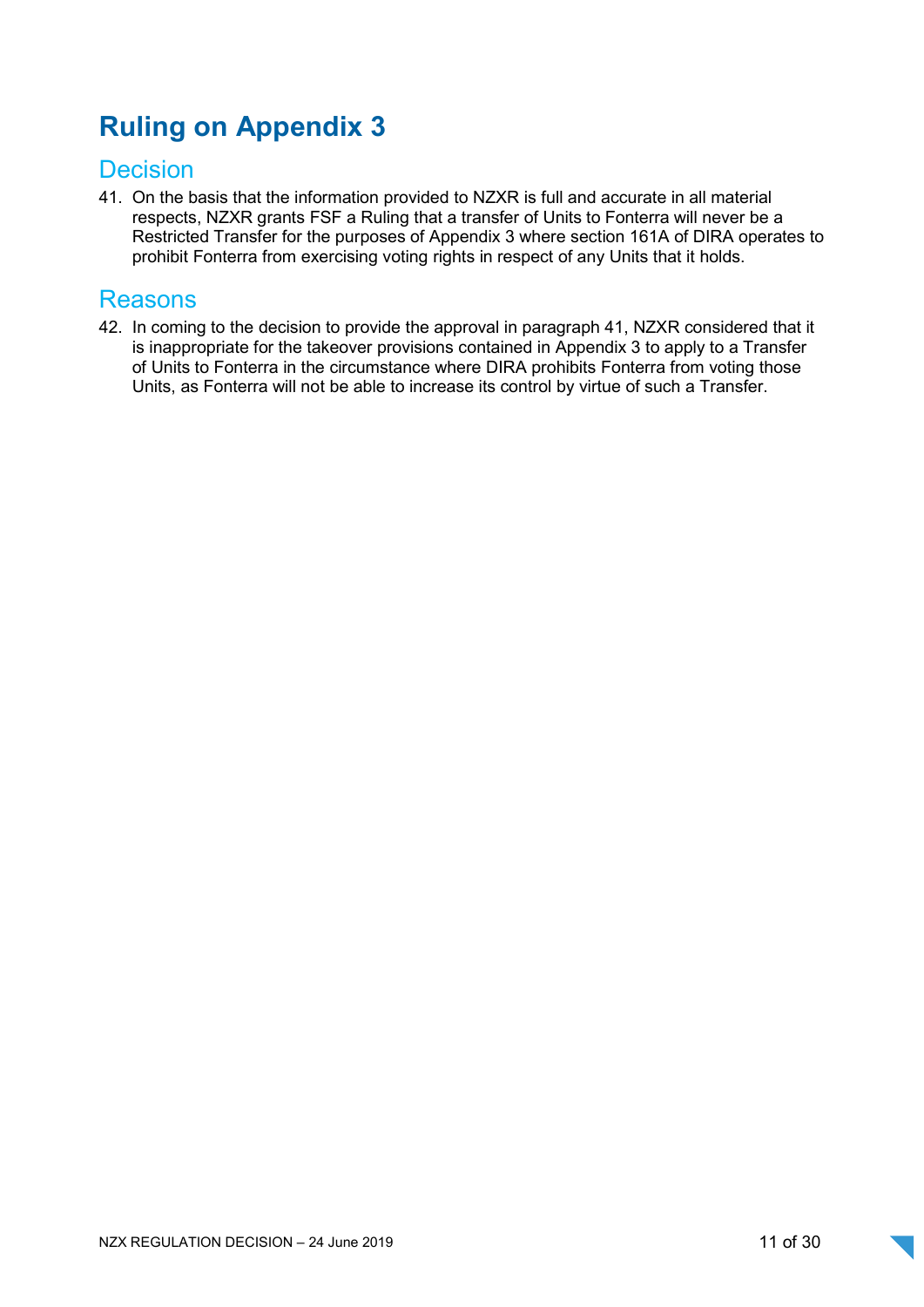## Ruling on Appendix 3

## **Decision**

41. On the basis that the information provided to NZXR is full and accurate in all material respects, NZXR grants FSF a Ruling that a transfer of Units to Fonterra will never be a Restricted Transfer for the purposes of Appendix 3 where section 161A of DIRA operates to prohibit Fonterra from exercising voting rights in respect of any Units that it holds.

## Reasons

42. In coming to the decision to provide the approval in paragraph 41, NZXR considered that it is inappropriate for the takeover provisions contained in Appendix 3 to apply to a Transfer of Units to Fonterra in the circumstance where DIRA prohibits Fonterra from voting those Units, as Fonterra will not be able to increase its control by virtue of such a Transfer.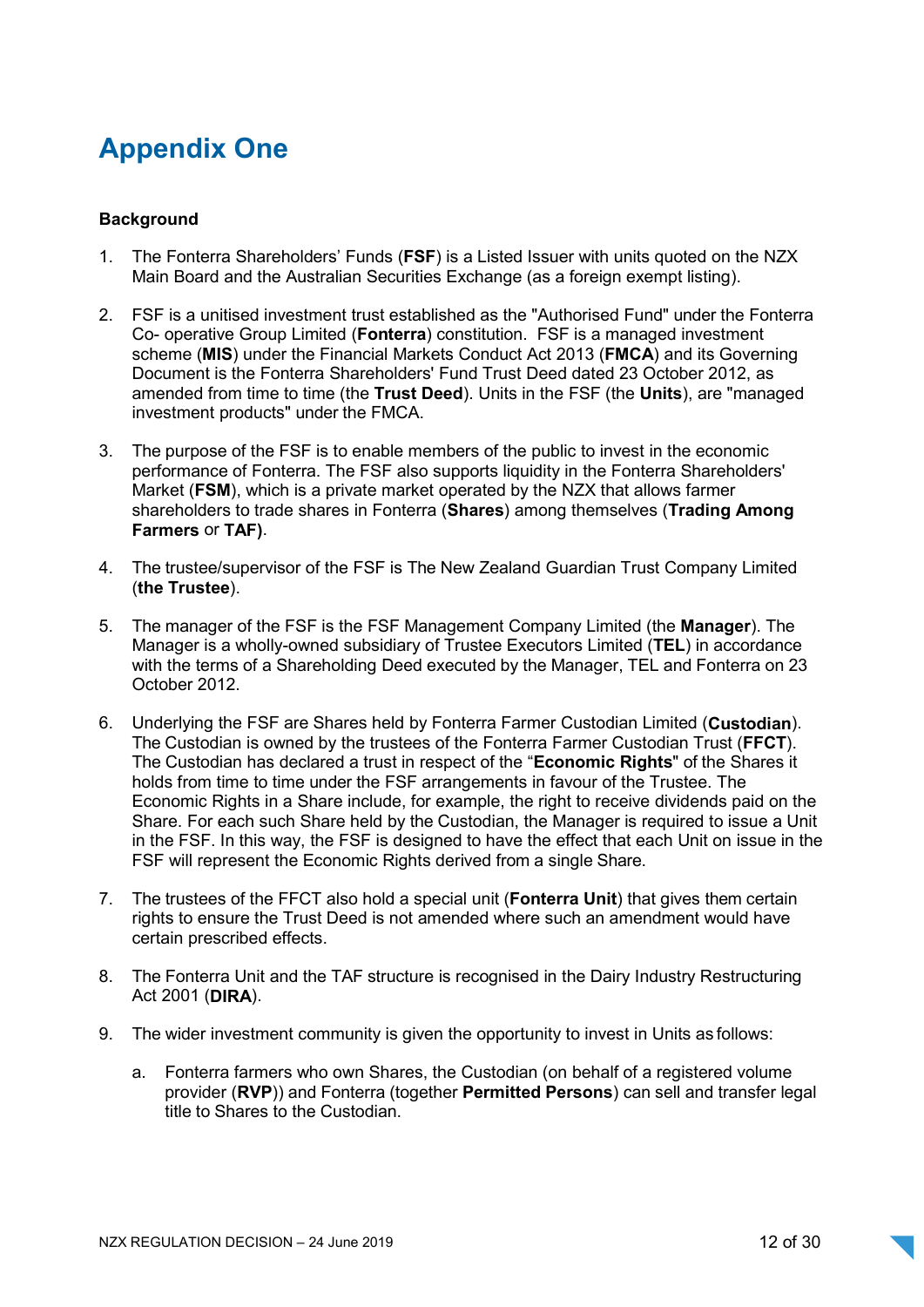## Appendix One

### **Background**

- 1. The Fonterra Shareholders' Funds (FSF) is a Listed Issuer with units quoted on the NZX Main Board and the Australian Securities Exchange (as a foreign exempt listing).
- 2. FSF is a unitised investment trust established as the "Authorised Fund" under the Fonterra Co- operative Group Limited (Fonterra) constitution. FSF is a managed investment scheme (MIS) under the Financial Markets Conduct Act 2013 (FMCA) and its Governing Document is the Fonterra Shareholders' Fund Trust Deed dated 23 October 2012, as amended from time to time (the Trust Deed). Units in the FSF (the Units), are "managed investment products" under the FMCA.
- 3. The purpose of the FSF is to enable members of the public to invest in the economic performance of Fonterra. The FSF also supports liquidity in the Fonterra Shareholders' Market (FSM), which is a private market operated by the NZX that allows farmer shareholders to trade shares in Fonterra (Shares) among themselves (Trading Among Farmers or TAF).
- 4. The trustee/supervisor of the FSF is The New Zealand Guardian Trust Company Limited (the Trustee).
- 5. The manager of the FSF is the FSF Management Company Limited (the Manager). The Manager is a wholly-owned subsidiary of Trustee Executors Limited (TEL) in accordance with the terms of a Shareholding Deed executed by the Manager, TEL and Fonterra on 23 October 2012.
- 6. Underlying the FSF are Shares held by Fonterra Farmer Custodian Limited (Custodian). The Custodian is owned by the trustees of the Fonterra Farmer Custodian Trust (FFCT). The Custodian has declared a trust in respect of the "Economic Rights" of the Shares it holds from time to time under the FSF arrangements in favour of the Trustee. The Economic Rights in a Share include, for example, the right to receive dividends paid on the Share. For each such Share held by the Custodian, the Manager is required to issue a Unit in the FSF. In this way, the FSF is designed to have the effect that each Unit on issue in the FSF will represent the Economic Rights derived from a single Share.
- 7. The trustees of the FFCT also hold a special unit (Fonterra Unit) that gives them certain rights to ensure the Trust Deed is not amended where such an amendment would have certain prescribed effects.
- 8. The Fonterra Unit and the TAF structure is recognised in the Dairy Industry Restructuring Act 2001 (DIRA).
- 9. The wider investment community is given the opportunity to invest in Units as follows:
	- a. Fonterra farmers who own Shares, the Custodian (on behalf of a registered volume provider (RVP)) and Fonterra (together Permitted Persons) can sell and transfer legal title to Shares to the Custodian.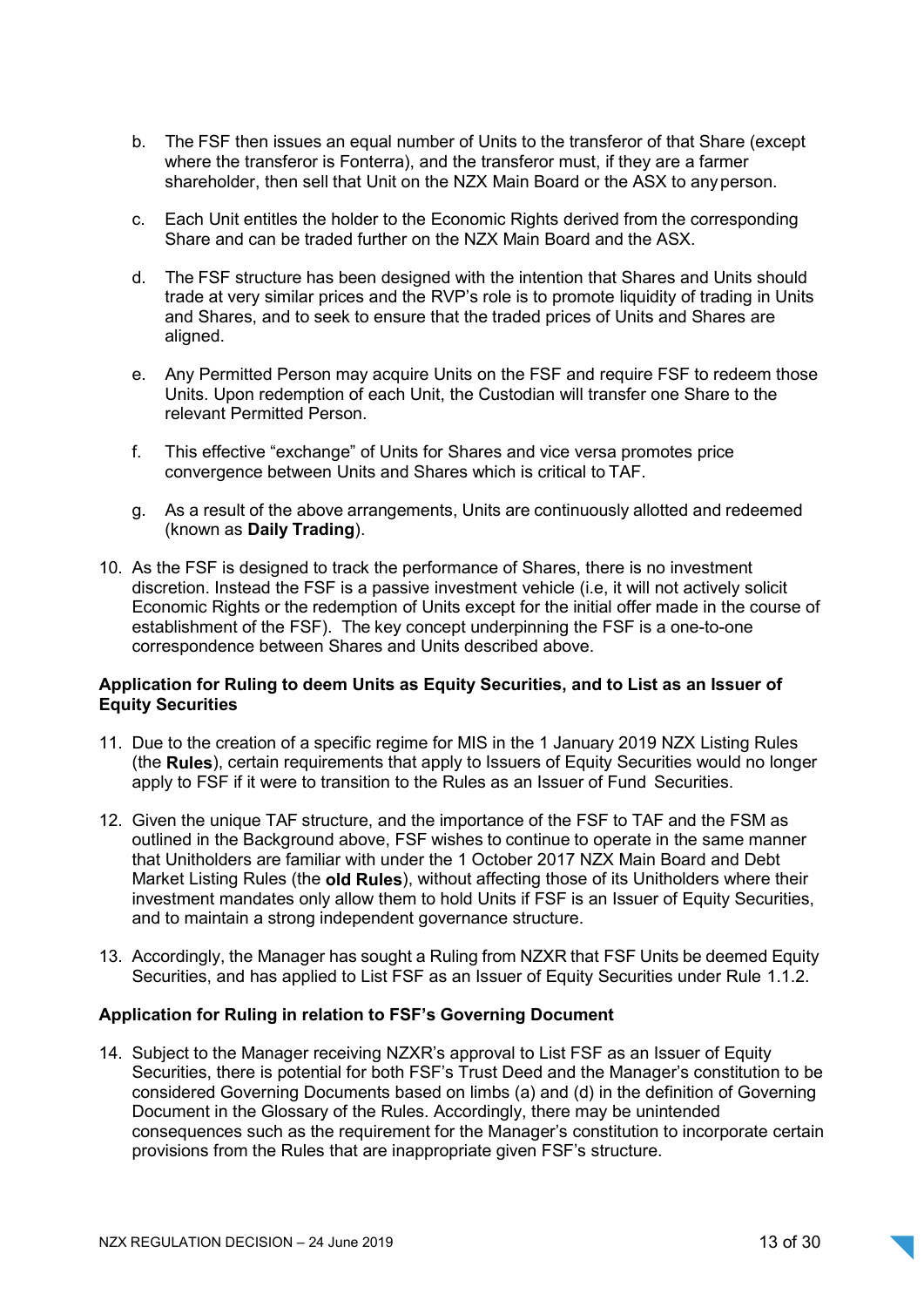- b. The FSF then issues an equal number of Units to the transferor of that Share (except where the transferor is Fonterra), and the transferor must, if they are a farmer shareholder, then sell that Unit on the NZX Main Board or the ASX to any person.
- c. Each Unit entitles the holder to the Economic Rights derived from the corresponding Share and can be traded further on the NZX Main Board and the ASX.
- d. The FSF structure has been designed with the intention that Shares and Units should trade at very similar prices and the RVP's role is to promote liquidity of trading in Units and Shares, and to seek to ensure that the traded prices of Units and Shares are aligned.
- e. Any Permitted Person may acquire Units on the FSF and require FSF to redeem those Units. Upon redemption of each Unit, the Custodian will transfer one Share to the relevant Permitted Person.
- f. This effective "exchange" of Units for Shares and vice versa promotes price convergence between Units and Shares which is critical to TAF.
- g. As a result of the above arrangements, Units are continuously allotted and redeemed (known as Daily Trading).
- 10. As the FSF is designed to track the performance of Shares, there is no investment discretion. Instead the FSF is a passive investment vehicle (i.e, it will not actively solicit Economic Rights or the redemption of Units except for the initial offer made in the course of establishment of the FSF). The key concept underpinning the FSF is a one-to-one correspondence between Shares and Units described above.

### Application for Ruling to deem Units as Equity Securities, and to List as an Issuer of Equity Securities

- 11. Due to the creation of a specific regime for MIS in the 1 January 2019 NZX Listing Rules (the **Rules**), certain requirements that apply to Issuers of Equity Securities would no longer apply to FSF if it were to transition to the Rules as an Issuer of Fund Securities.
- 12. Given the unique TAF structure, and the importance of the FSF to TAF and the FSM as outlined in the Background above, FSF wishes to continue to operate in the same manner that Unitholders are familiar with under the 1 October 2017 NZX Main Board and Debt Market Listing Rules (the old Rules), without affecting those of its Unitholders where their investment mandates only allow them to hold Units if FSF is an Issuer of Equity Securities, and to maintain a strong independent governance structure.
- 13. Accordingly, the Manager has sought a Ruling from NZXR that FSF Units be deemed Equity Securities, and has applied to List FSF as an Issuer of Equity Securities under Rule 1.1.2.

### Application for Ruling in relation to FSF's Governing Document

14. Subject to the Manager receiving NZXR's approval to List FSF as an Issuer of Equity Securities, there is potential for both FSF's Trust Deed and the Manager's constitution to be considered Governing Documents based on limbs (a) and (d) in the definition of Governing Document in the Glossary of the Rules. Accordingly, there may be unintended consequences such as the requirement for the Manager's constitution to incorporate certain provisions from the Rules that are inappropriate given FSF's structure.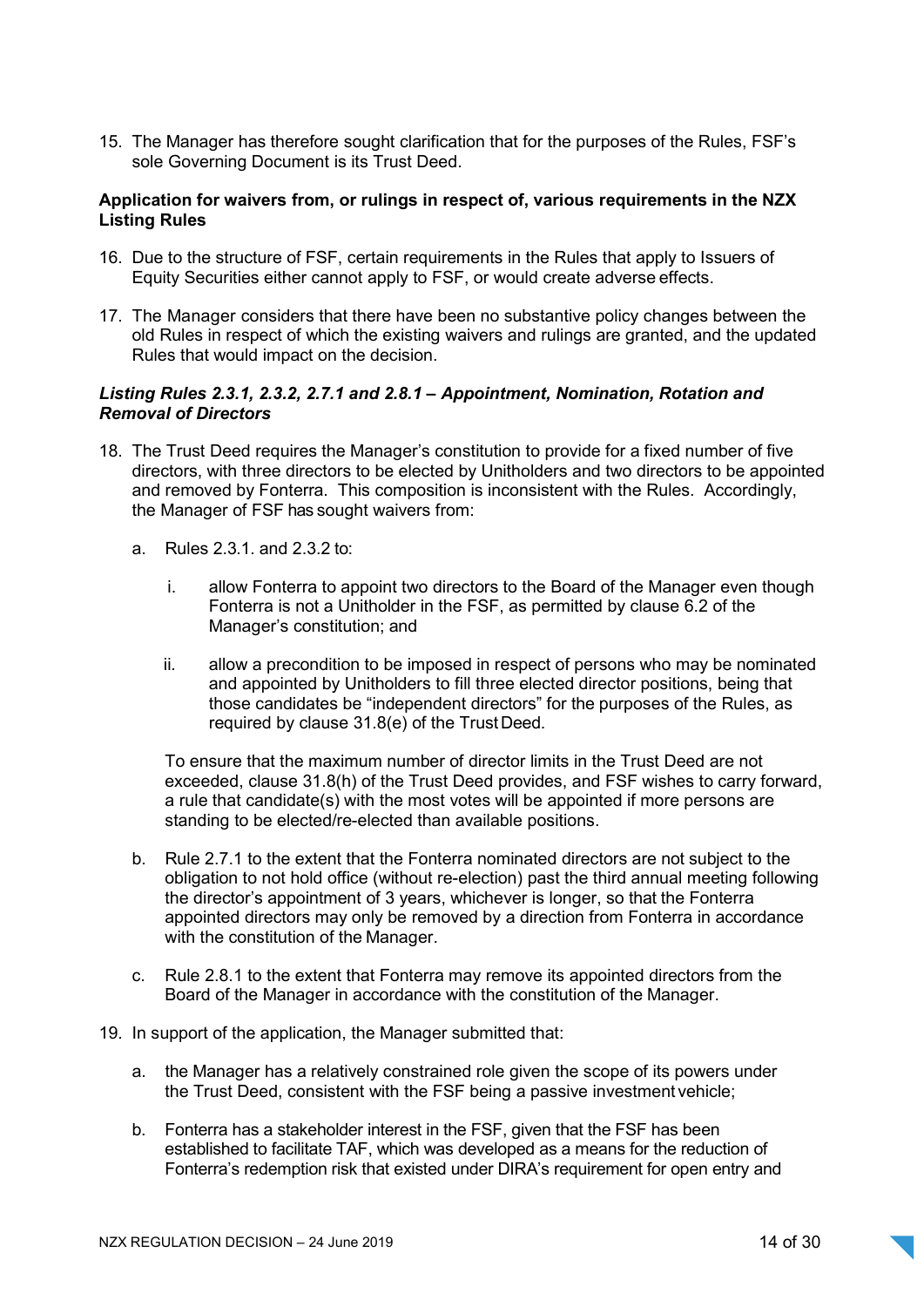15. The Manager has therefore sought clarification that for the purposes of the Rules, FSF's sole Governing Document is its Trust Deed.

#### Application for waivers from, or rulings in respect of, various requirements in the NZX Listing Rules

- 16. Due to the structure of FSF, certain requirements in the Rules that apply to Issuers of Equity Securities either cannot apply to FSF, or would create adverse effects.
- 17. The Manager considers that there have been no substantive policy changes between the old Rules in respect of which the existing waivers and rulings are granted, and the updated Rules that would impact on the decision.

### Listing Rules 2.3.1, 2.3.2, 2.7.1 and 2.8.1 – Appointment, Nomination, Rotation and Removal of Directors

- 18. The Trust Deed requires the Manager's constitution to provide for a fixed number of five directors, with three directors to be elected by Unitholders and two directors to be appointed and removed by Fonterra. This composition is inconsistent with the Rules. Accordingly, the Manager of FSF has sought waivers from:
	- a. Rules 2.3.1. and 2.3.2 to:
		- i. allow Fonterra to appoint two directors to the Board of the Manager even though Fonterra is not a Unitholder in the FSF, as permitted by clause 6.2 of the Manager's constitution; and
		- ii. allow a precondition to be imposed in respect of persons who may be nominated and appointed by Unitholders to fill three elected director positions, being that those candidates be "independent directors" for the purposes of the Rules, as required by clause 31.8(e) of the Trust Deed.

To ensure that the maximum number of director limits in the Trust Deed are not exceeded, clause 31.8(h) of the Trust Deed provides, and FSF wishes to carry forward, a rule that candidate(s) with the most votes will be appointed if more persons are standing to be elected/re-elected than available positions.

- b. Rule 2.7.1 to the extent that the Fonterra nominated directors are not subject to the obligation to not hold office (without re-election) past the third annual meeting following the director's appointment of 3 years, whichever is longer, so that the Fonterra appointed directors may only be removed by a direction from Fonterra in accordance with the constitution of the Manager.
- c. Rule 2.8.1 to the extent that Fonterra may remove its appointed directors from the Board of the Manager in accordance with the constitution of the Manager.
- 19. In support of the application, the Manager submitted that:
	- a. the Manager has a relatively constrained role given the scope of its powers under the Trust Deed, consistent with the FSF being a passive investment vehicle;
	- b. Fonterra has a stakeholder interest in the FSF, given that the FSF has been established to facilitate TAF, which was developed as a means for the reduction of Fonterra's redemption risk that existed under DIRA's requirement for open entry and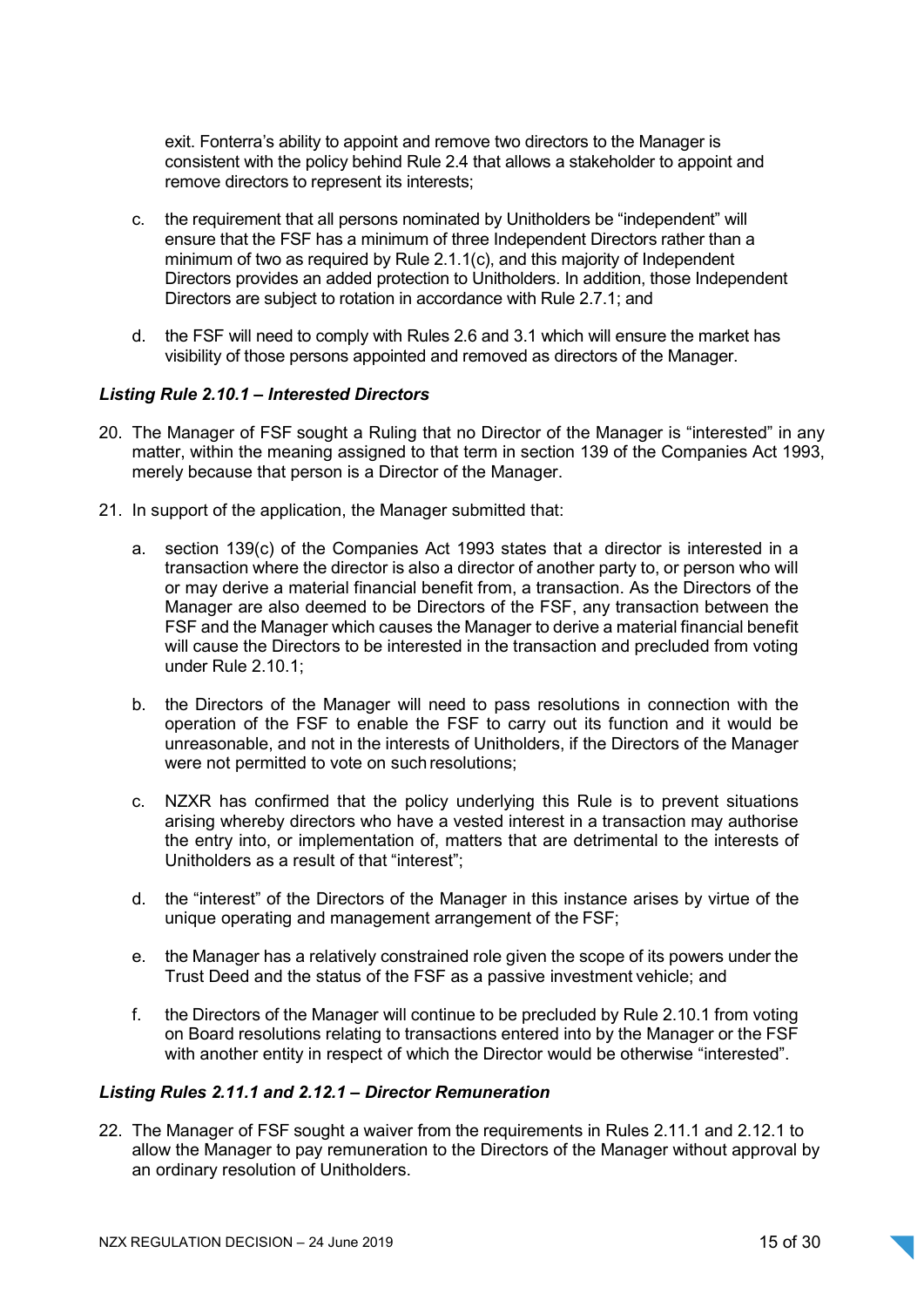exit. Fonterra's ability to appoint and remove two directors to the Manager is consistent with the policy behind Rule 2.4 that allows a stakeholder to appoint and remove directors to represent its interests;

- c. the requirement that all persons nominated by Unitholders be "independent" will ensure that the FSF has a minimum of three Independent Directors rather than a minimum of two as required by Rule 2.1.1(c), and this majority of Independent Directors provides an added protection to Unitholders. In addition, those Independent Directors are subject to rotation in accordance with Rule 2.7.1; and
- d. the FSF will need to comply with Rules 2.6 and 3.1 which will ensure the market has visibility of those persons appointed and removed as directors of the Manager.

#### Listing Rule 2.10.1 – Interested Directors

- 20. The Manager of FSF sought a Ruling that no Director of the Manager is "interested" in any matter, within the meaning assigned to that term in section 139 of the Companies Act 1993, merely because that person is a Director of the Manager.
- 21. In support of the application, the Manager submitted that:
	- a. section 139(c) of the Companies Act 1993 states that a director is interested in a transaction where the director is also a director of another party to, or person who will or may derive a material financial benefit from, a transaction. As the Directors of the Manager are also deemed to be Directors of the FSF, any transaction between the FSF and the Manager which causes the Manager to derive a material financial benefit will cause the Directors to be interested in the transaction and precluded from voting under Rule 2.10.1;
	- b. the Directors of the Manager will need to pass resolutions in connection with the operation of the FSF to enable the FSF to carry out its function and it would be unreasonable, and not in the interests of Unitholders, if the Directors of the Manager were not permitted to vote on such resolutions;
	- c. NZXR has confirmed that the policy underlying this Rule is to prevent situations arising whereby directors who have a vested interest in a transaction may authorise the entry into, or implementation of, matters that are detrimental to the interests of Unitholders as a result of that "interest";
	- d. the "interest" of the Directors of the Manager in this instance arises by virtue of the unique operating and management arrangement of the FSF;
	- e. the Manager has a relatively constrained role given the scope of its powers under the Trust Deed and the status of the FSF as a passive investment vehicle; and
	- f. the Directors of the Manager will continue to be precluded by Rule 2.10.1 from voting on Board resolutions relating to transactions entered into by the Manager or the FSF with another entity in respect of which the Director would be otherwise "interested".

### Listing Rules 2.11.1 and 2.12.1 – Director Remuneration

22. The Manager of FSF sought a waiver from the requirements in Rules 2.11.1 and 2.12.1 to allow the Manager to pay remuneration to the Directors of the Manager without approval by an ordinary resolution of Unitholders.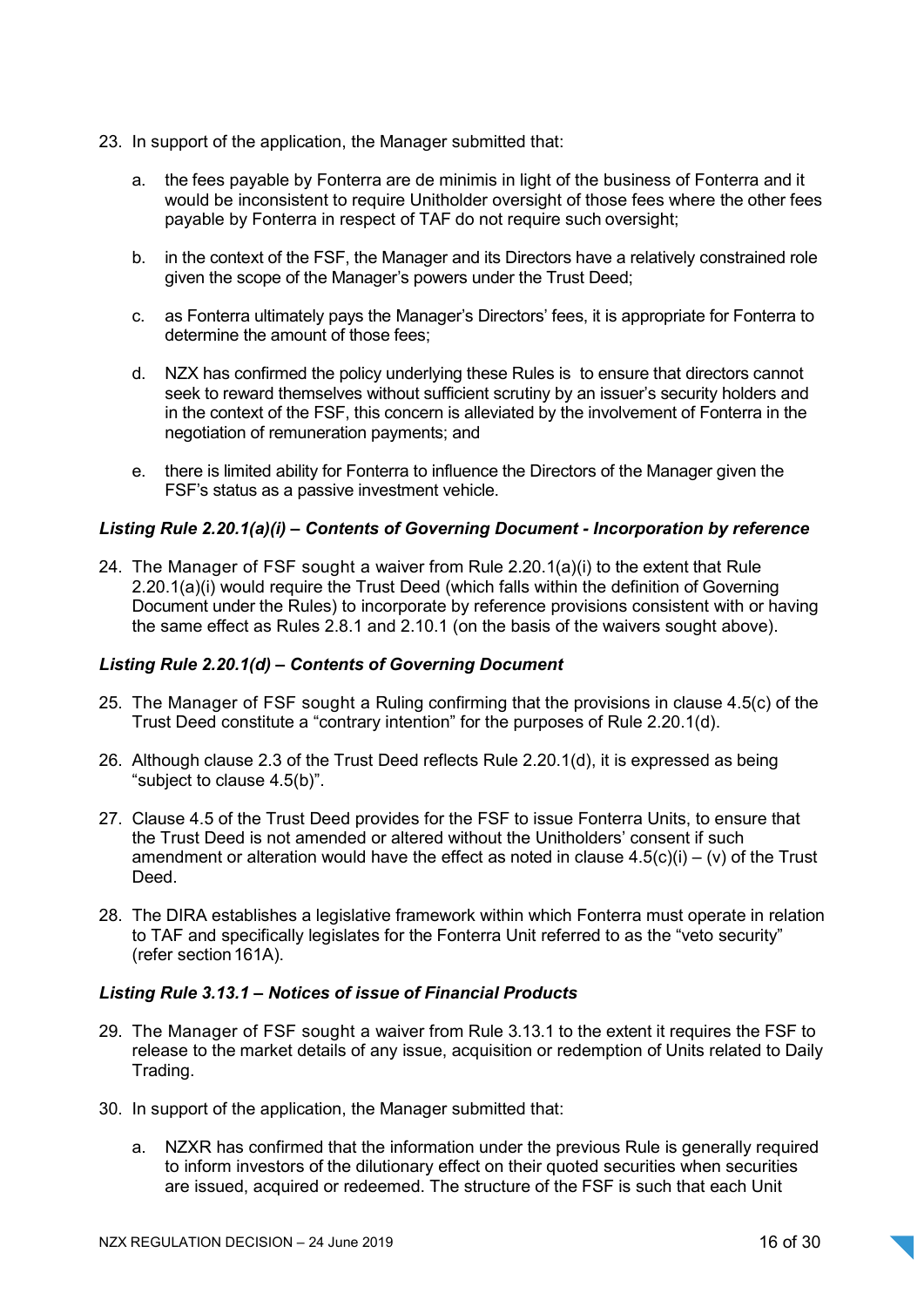- 23. In support of the application, the Manager submitted that:
	- a. the fees payable by Fonterra are de minimis in light of the business of Fonterra and it would be inconsistent to require Unitholder oversight of those fees where the other fees payable by Fonterra in respect of TAF do not require such oversight;
	- b. in the context of the FSF, the Manager and its Directors have a relatively constrained role given the scope of the Manager's powers under the Trust Deed;
	- c. as Fonterra ultimately pays the Manager's Directors' fees, it is appropriate for Fonterra to determine the amount of those fees;
	- d. NZX has confirmed the policy underlying these Rules is to ensure that directors cannot seek to reward themselves without sufficient scrutiny by an issuer's security holders and in the context of the FSF, this concern is alleviated by the involvement of Fonterra in the negotiation of remuneration payments; and
	- e. there is limited ability for Fonterra to influence the Directors of the Manager given the FSF's status as a passive investment vehicle.

### Listing Rule 2.20.1(a)(i) – Contents of Governing Document - Incorporation by reference

24. The Manager of FSF sought a waiver from Rule 2.20.1(a)(i) to the extent that Rule 2.20.1(a)(i) would require the Trust Deed (which falls within the definition of Governing Document under the Rules) to incorporate by reference provisions consistent with or having the same effect as Rules 2.8.1 and 2.10.1 (on the basis of the waivers sought above).

#### Listing Rule 2.20.1(d) – Contents of Governing Document

- 25. The Manager of FSF sought a Ruling confirming that the provisions in clause 4.5(c) of the Trust Deed constitute a "contrary intention" for the purposes of Rule 2.20.1(d).
- 26. Although clause 2.3 of the Trust Deed reflects Rule 2.20.1(d), it is expressed as being "subject to clause 4.5(b)".
- 27. Clause 4.5 of the Trust Deed provides for the FSF to issue Fonterra Units, to ensure that the Trust Deed is not amended or altered without the Unitholders' consent if such amendment or alteration would have the effect as noted in clause  $4.5(c)(i) - (v)$  of the Trust **Deed**
- 28. The DIRA establishes a legislative framework within which Fonterra must operate in relation to TAF and specifically legislates for the Fonterra Unit referred to as the "veto security" (refer section 161A).

#### Listing Rule 3.13.1 – Notices of issue of Financial Products

- 29. The Manager of FSF sought a waiver from Rule 3.13.1 to the extent it requires the FSF to release to the market details of any issue, acquisition or redemption of Units related to Daily Trading.
- 30. In support of the application, the Manager submitted that:
	- a. NZXR has confirmed that the information under the previous Rule is generally required to inform investors of the dilutionary effect on their quoted securities when securities are issued, acquired or redeemed. The structure of the FSF is such that each Unit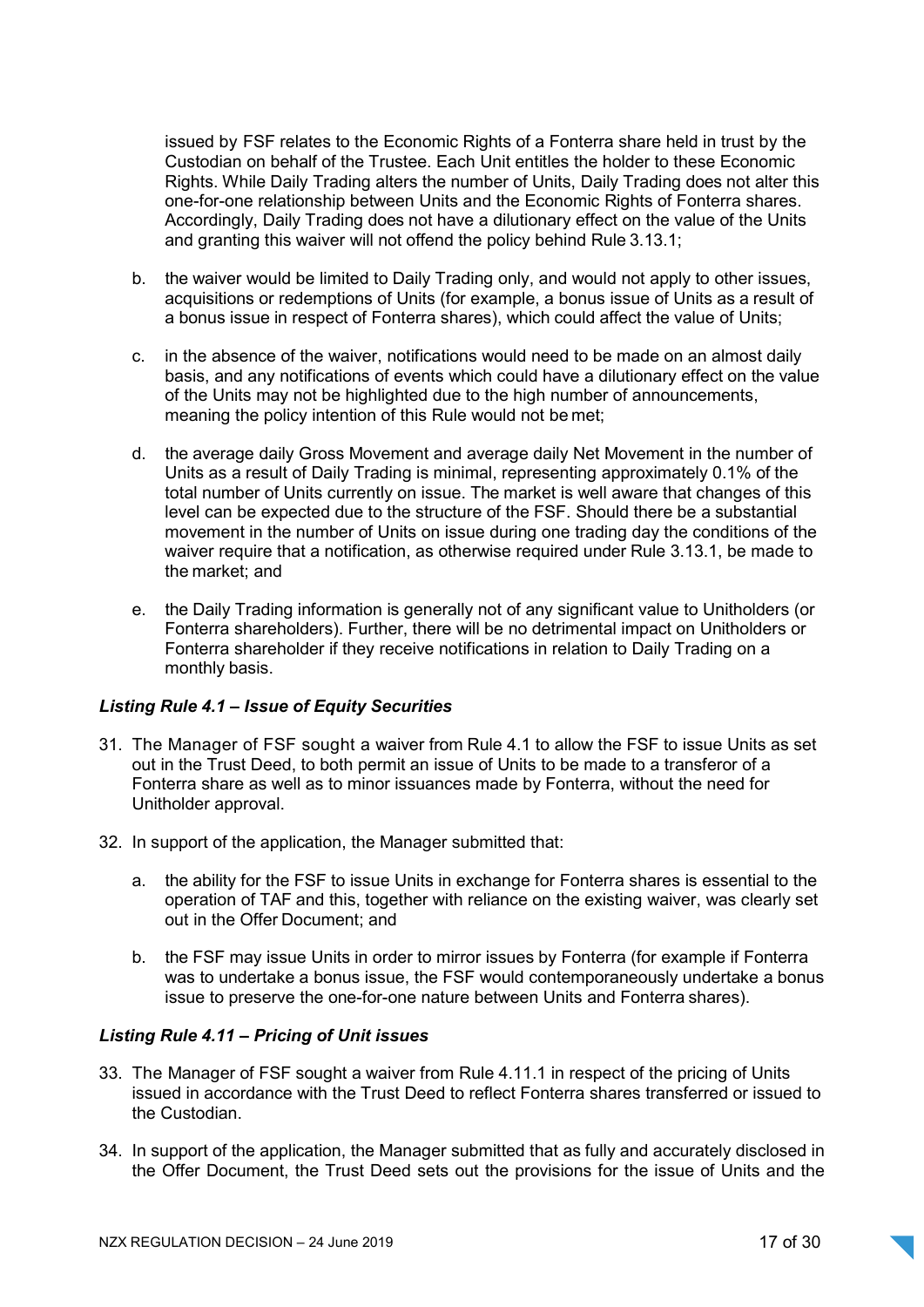issued by FSF relates to the Economic Rights of a Fonterra share held in trust by the Custodian on behalf of the Trustee. Each Unit entitles the holder to these Economic Rights. While Daily Trading alters the number of Units, Daily Trading does not alter this one-for-one relationship between Units and the Economic Rights of Fonterra shares. Accordingly, Daily Trading does not have a dilutionary effect on the value of the Units and granting this waiver will not offend the policy behind Rule 3.13.1;

- b. the waiver would be limited to Daily Trading only, and would not apply to other issues, acquisitions or redemptions of Units (for example, a bonus issue of Units as a result of a bonus issue in respect of Fonterra shares), which could affect the value of Units;
- c. in the absence of the waiver, notifications would need to be made on an almost daily basis, and any notifications of events which could have a dilutionary effect on the value of the Units may not be highlighted due to the high number of announcements, meaning the policy intention of this Rule would not be met;
- d. the average daily Gross Movement and average daily Net Movement in the number of Units as a result of Daily Trading is minimal, representing approximately 0.1% of the total number of Units currently on issue. The market is well aware that changes of this level can be expected due to the structure of the FSF. Should there be a substantial movement in the number of Units on issue during one trading day the conditions of the waiver require that a notification, as otherwise required under Rule 3.13.1, be made to the market; and
- e. the Daily Trading information is generally not of any significant value to Unitholders (or Fonterra shareholders). Further, there will be no detrimental impact on Unitholders or Fonterra shareholder if they receive notifications in relation to Daily Trading on a monthly basis.

### Listing Rule 4.1 - Issue of Equity Securities

- 31. The Manager of FSF sought a waiver from Rule 4.1 to allow the FSF to issue Units as set out in the Trust Deed, to both permit an issue of Units to be made to a transferor of a Fonterra share as well as to minor issuances made by Fonterra, without the need for Unitholder approval.
- 32. In support of the application, the Manager submitted that:
	- a. the ability for the FSF to issue Units in exchange for Fonterra shares is essential to the operation of TAF and this, together with reliance on the existing waiver, was clearly set out in the Offer Document; and
	- b. the FSF may issue Units in order to mirror issues by Fonterra (for example if Fonterra was to undertake a bonus issue, the FSF would contemporaneously undertake a bonus issue to preserve the one-for-one nature between Units and Fonterra shares).

### Listing Rule 4.11 – Pricing of Unit issues

- 33. The Manager of FSF sought a waiver from Rule 4.11.1 in respect of the pricing of Units issued in accordance with the Trust Deed to reflect Fonterra shares transferred or issued to the Custodian.
- 34. In support of the application, the Manager submitted that as fully and accurately disclosed in the Offer Document, the Trust Deed sets out the provisions for the issue of Units and the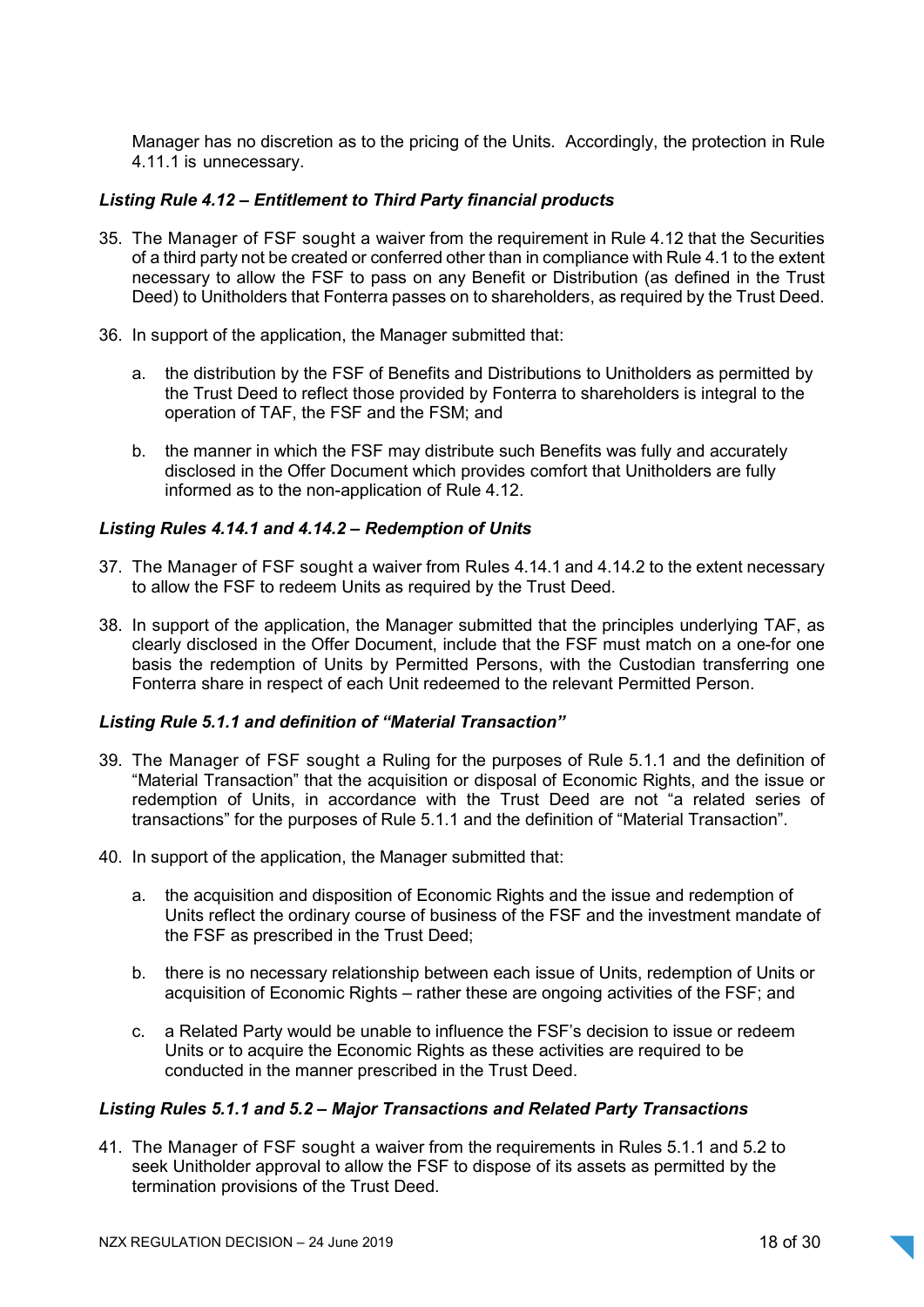Manager has no discretion as to the pricing of the Units. Accordingly, the protection in Rule 4.11.1 is unnecessary.

### Listing Rule 4.12 – Entitlement to Third Party financial products

- 35. The Manager of FSF sought a waiver from the requirement in Rule 4.12 that the Securities of a third party not be created or conferred other than in compliance with Rule 4.1 to the extent necessary to allow the FSF to pass on any Benefit or Distribution (as defined in the Trust Deed) to Unitholders that Fonterra passes on to shareholders, as required by the Trust Deed.
- 36. In support of the application, the Manager submitted that:
	- a. the distribution by the FSF of Benefits and Distributions to Unitholders as permitted by the Trust Deed to reflect those provided by Fonterra to shareholders is integral to the operation of TAF, the FSF and the FSM; and
	- b. the manner in which the FSF may distribute such Benefits was fully and accurately disclosed in the Offer Document which provides comfort that Unitholders are fully informed as to the non-application of Rule 4.12.

#### Listing Rules 4.14.1 and 4.14.2 – Redemption of Units

- 37. The Manager of FSF sought a waiver from Rules 4.14.1 and 4.14.2 to the extent necessary to allow the FSF to redeem Units as required by the Trust Deed.
- 38. In support of the application, the Manager submitted that the principles underlying TAF, as clearly disclosed in the Offer Document, include that the FSF must match on a one-for one basis the redemption of Units by Permitted Persons, with the Custodian transferring one Fonterra share in respect of each Unit redeemed to the relevant Permitted Person.

#### Listing Rule 5.1.1 and definition of "Material Transaction"

- 39. The Manager of FSF sought a Ruling for the purposes of Rule 5.1.1 and the definition of "Material Transaction" that the acquisition or disposal of Economic Rights, and the issue or redemption of Units, in accordance with the Trust Deed are not "a related series of transactions" for the purposes of Rule 5.1.1 and the definition of "Material Transaction".
- 40. In support of the application, the Manager submitted that:
	- a. the acquisition and disposition of Economic Rights and the issue and redemption of Units reflect the ordinary course of business of the FSF and the investment mandate of the FSF as prescribed in the Trust Deed;
	- b. there is no necessary relationship between each issue of Units, redemption of Units or acquisition of Economic Rights – rather these are ongoing activities of the FSF; and
	- c. a Related Party would be unable to influence the FSF's decision to issue or redeem Units or to acquire the Economic Rights as these activities are required to be conducted in the manner prescribed in the Trust Deed.

#### Listing Rules 5.1.1 and 5.2 – Major Transactions and Related Party Transactions

41. The Manager of FSF sought a waiver from the requirements in Rules 5.1.1 and 5.2 to seek Unitholder approval to allow the FSF to dispose of its assets as permitted by the termination provisions of the Trust Deed.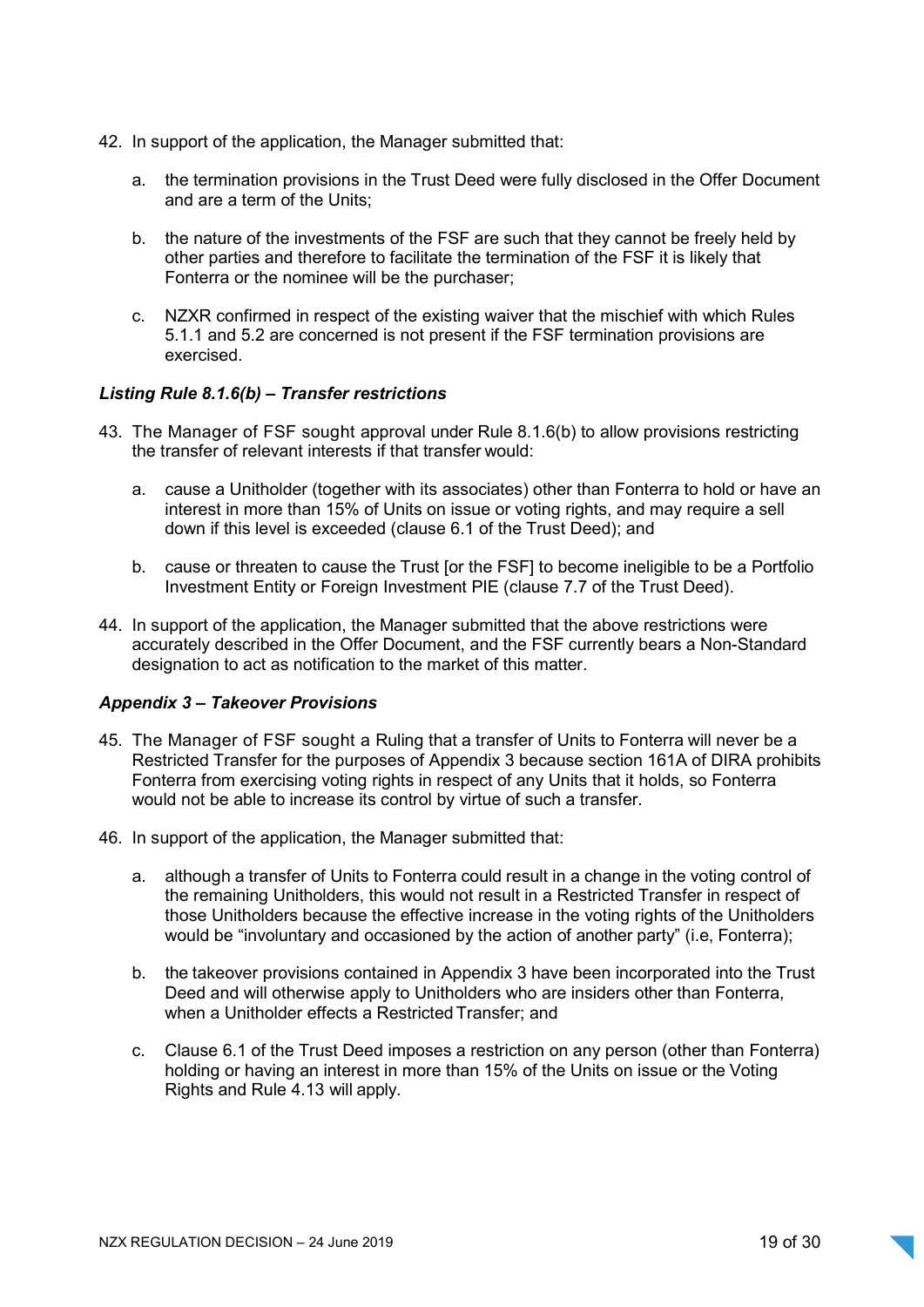- 42. In support of the application, the Manager submitted that:
	- a. the termination provisions in the Trust Deed were fully disclosed in the Offer Document and are a term of the Units;
	- b. the nature of the investments of the FSF are such that they cannot be freely held by other parties and therefore to facilitate the termination of the FSF it is likely that Fonterra or the nominee will be the purchaser;
	- c. NZXR confirmed in respect of the existing waiver that the mischief with which Rules 5.1.1 and 5.2 are concerned is not present if the FSF termination provisions are exercised.

#### Listing Rule 8.1.6(b) – Transfer restrictions

- 43. The Manager of FSF sought approval under Rule 8.1.6(b) to allow provisions restricting the transfer of relevant interests if that transfer would:
	- a. cause a Unitholder (together with its associates) other than Fonterra to hold or have an interest in more than 15% of Units on issue or voting rights, and may require a sell down if this level is exceeded (clause 6.1 of the Trust Deed); and
	- b. cause or threaten to cause the Trust [or the FSF] to become ineligible to be a Portfolio Investment Entity or Foreign Investment PIE (clause 7.7 of the Trust Deed).
- 44. In support of the application, the Manager submitted that the above restrictions were accurately described in the Offer Document, and the FSF currently bears a Non-Standard designation to act as notification to the market of this matter.

### Appendix 3 – Takeover Provisions

- 45. The Manager of FSF sought a Ruling that a transfer of Units to Fonterra will never be a Restricted Transfer for the purposes of Appendix 3 because section 161A of DIRA prohibits Fonterra from exercising voting rights in respect of any Units that it holds, so Fonterra would not be able to increase its control by virtue of such a transfer.
- 46. In support of the application, the Manager submitted that:
	- a. although a transfer of Units to Fonterra could result in a change in the voting control of the remaining Unitholders, this would not result in a Restricted Transfer in respect of those Unitholders because the effective increase in the voting rights of the Unitholders would be "involuntary and occasioned by the action of another party" (i.e, Fonterra);
	- b. the takeover provisions contained in Appendix 3 have been incorporated into the Trust Deed and will otherwise apply to Unitholders who are insiders other than Fonterra, when a Unitholder effects a Restricted Transfer; and
	- c. Clause 6.1 of the Trust Deed imposes a restriction on any person (other than Fonterra) holding or having an interest in more than 15% of the Units on issue or the Voting Rights and Rule 4.13 will apply.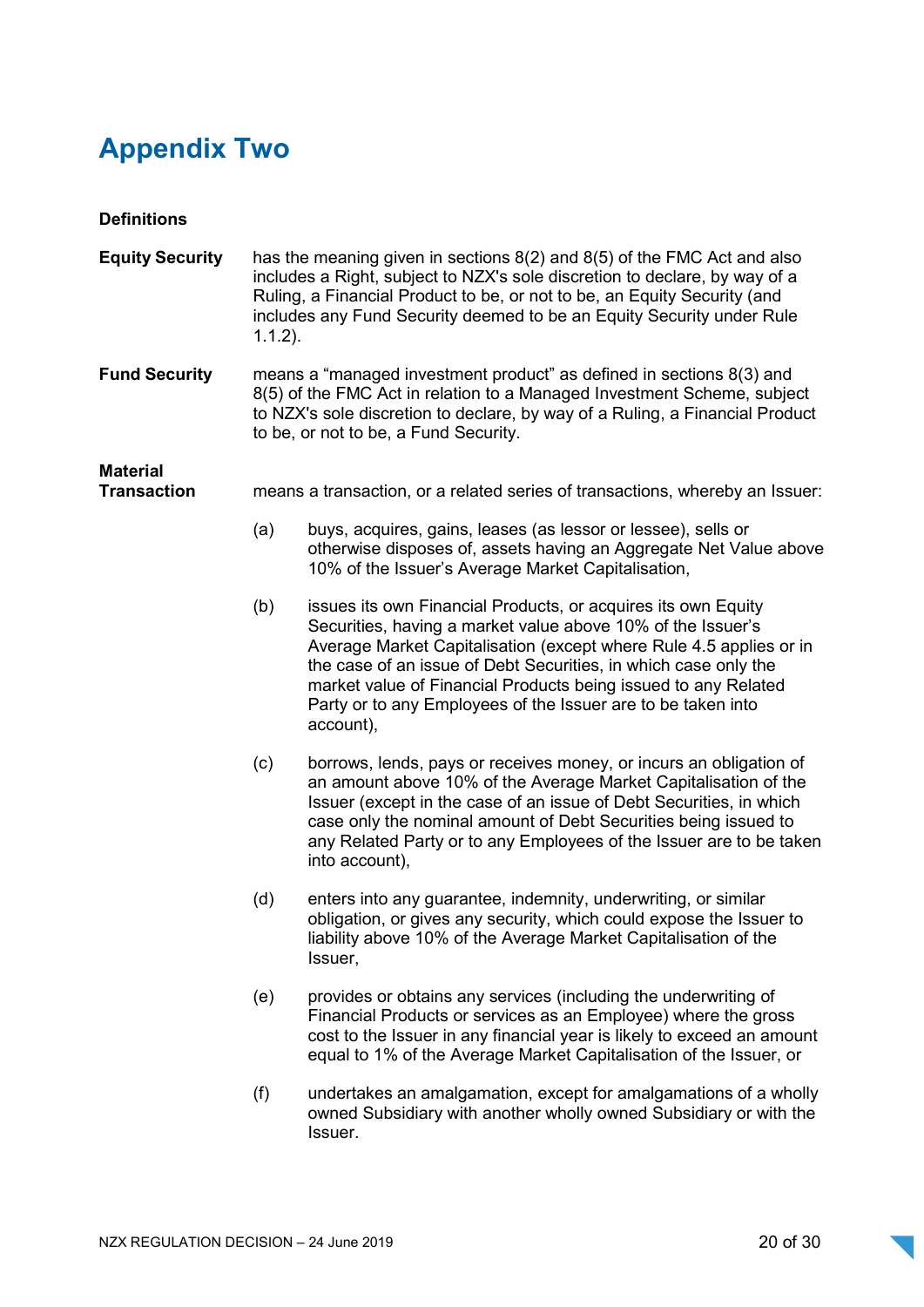## Appendix Two

| <b>Definitions</b>                    |                                                                                                                                                                                                                                                                                                                          |                                                                                                                                                                                                                                                                                                                                                                                                                      |
|---------------------------------------|--------------------------------------------------------------------------------------------------------------------------------------------------------------------------------------------------------------------------------------------------------------------------------------------------------------------------|----------------------------------------------------------------------------------------------------------------------------------------------------------------------------------------------------------------------------------------------------------------------------------------------------------------------------------------------------------------------------------------------------------------------|
| <b>Equity Security</b>                | has the meaning given in sections 8(2) and 8(5) of the FMC Act and also<br>includes a Right, subject to NZX's sole discretion to declare, by way of a<br>Ruling, a Financial Product to be, or not to be, an Equity Security (and<br>includes any Fund Security deemed to be an Equity Security under Rule<br>$1.1.2$ ). |                                                                                                                                                                                                                                                                                                                                                                                                                      |
| <b>Fund Security</b>                  | means a "managed investment product" as defined in sections 8(3) and<br>8(5) of the FMC Act in relation to a Managed Investment Scheme, subject<br>to NZX's sole discretion to declare, by way of a Ruling, a Financial Product<br>to be, or not to be, a Fund Security.                                                 |                                                                                                                                                                                                                                                                                                                                                                                                                      |
| <b>Material</b><br><b>Transaction</b> | means a transaction, or a related series of transactions, whereby an Issuer:                                                                                                                                                                                                                                             |                                                                                                                                                                                                                                                                                                                                                                                                                      |
|                                       | (a)                                                                                                                                                                                                                                                                                                                      | buys, acquires, gains, leases (as lessor or lessee), sells or<br>otherwise disposes of, assets having an Aggregate Net Value above<br>10% of the Issuer's Average Market Capitalisation,                                                                                                                                                                                                                             |
|                                       | (b)                                                                                                                                                                                                                                                                                                                      | issues its own Financial Products, or acquires its own Equity<br>Securities, having a market value above 10% of the Issuer's<br>Average Market Capitalisation (except where Rule 4.5 applies or in<br>the case of an issue of Debt Securities, in which case only the<br>market value of Financial Products being issued to any Related<br>Party or to any Employees of the Issuer are to be taken into<br>account), |
|                                       | (c)                                                                                                                                                                                                                                                                                                                      | borrows, lends, pays or receives money, or incurs an obligation of<br>an amount above 10% of the Average Market Capitalisation of the<br>Issuer (except in the case of an issue of Debt Securities, in which<br>case only the nominal amount of Debt Securities being issued to<br>any Related Party or to any Employees of the Issuer are to be taken<br>into account),                                             |
|                                       | (d)                                                                                                                                                                                                                                                                                                                      | enters into any guarantee, indemnity, underwriting, or similar<br>obligation, or gives any security, which could expose the Issuer to<br>liability above 10% of the Average Market Capitalisation of the<br>Issuer,                                                                                                                                                                                                  |
|                                       | (e)                                                                                                                                                                                                                                                                                                                      | provides or obtains any services (including the underwriting of<br>Financial Products or services as an Employee) where the gross<br>cost to the Issuer in any financial year is likely to exceed an amount<br>equal to 1% of the Average Market Capitalisation of the Issuer, or                                                                                                                                    |
|                                       | (f)                                                                                                                                                                                                                                                                                                                      | undertakes an amalgamation, except for amalgamations of a wholly<br>owned Subsidiary with another wholly owned Subsidiary or with the<br>Issuer.                                                                                                                                                                                                                                                                     |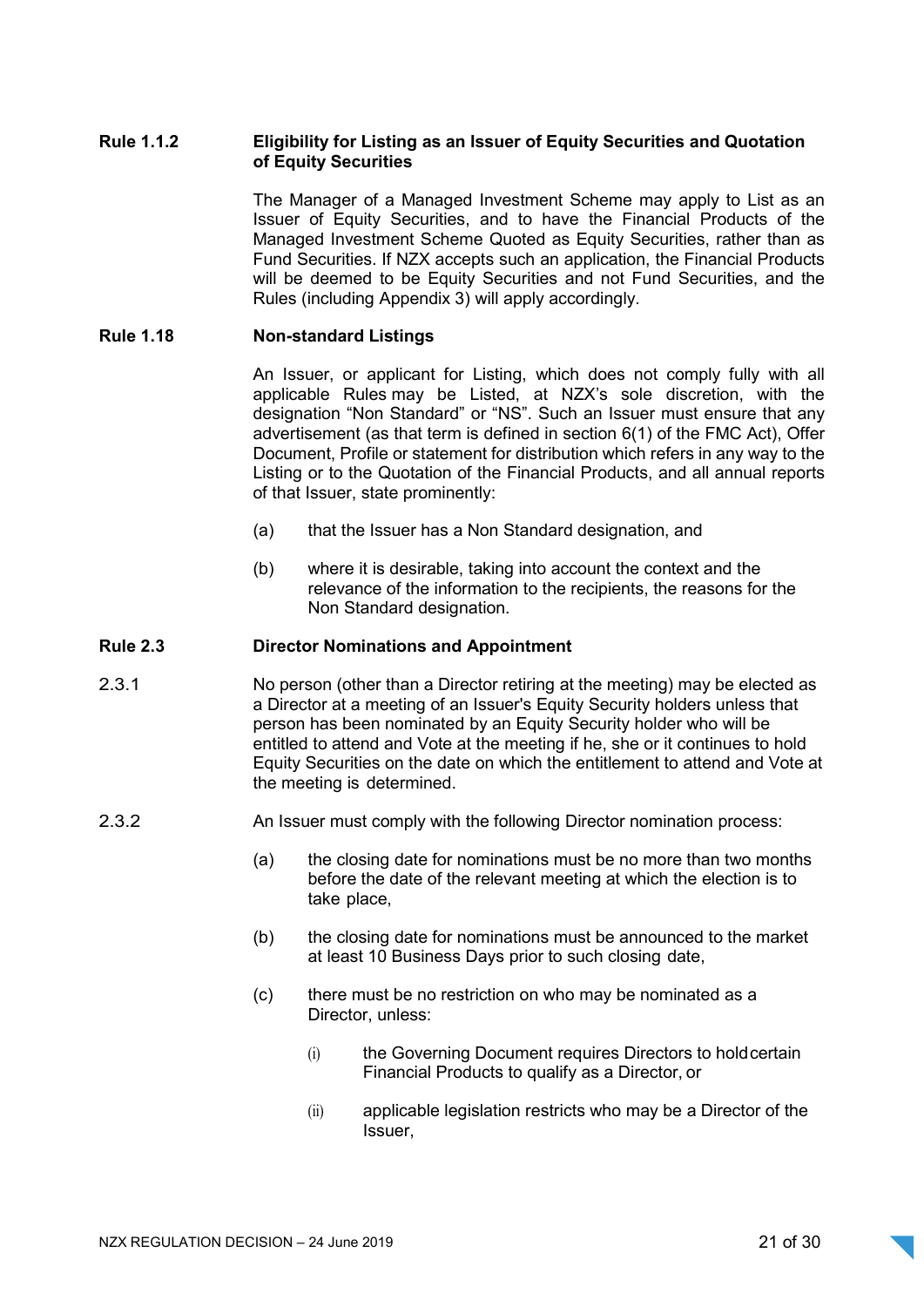### Rule 1.1.2 Eligibility for Listing as an Issuer of Equity Securities and Quotation of Equity Securities

The Manager of a Managed Investment Scheme may apply to List as an Issuer of Equity Securities, and to have the Financial Products of the Managed Investment Scheme Quoted as Equity Securities, rather than as Fund Securities. If NZX accepts such an application, the Financial Products will be deemed to be Equity Securities and not Fund Securities, and the Rules (including Appendix 3) will apply accordingly.

### Rule 1.18 Non-standard Listings

An Issuer, or applicant for Listing, which does not comply fully with all applicable Rules may be Listed, at NZX's sole discretion, with the designation "Non Standard" or "NS". Such an Issuer must ensure that any advertisement (as that term is defined in section 6(1) of the FMC Act), Offer Document, Profile or statement for distribution which refers in any way to the Listing or to the Quotation of the Financial Products, and all annual reports of that Issuer, state prominently:

- (a) that the Issuer has a Non Standard designation, and
- (b) where it is desirable, taking into account the context and the relevance of the information to the recipients, the reasons for the Non Standard designation.

#### Rule 2.3 Director Nominations and Appointment

- 2.3.1 No person (other than a Director retiring at the meeting) may be elected as a Director at a meeting of an Issuer's Equity Security holders unless that person has been nominated by an Equity Security holder who will be entitled to attend and Vote at the meeting if he, she or it continues to hold Equity Securities on the date on which the entitlement to attend and Vote at the meeting is determined.
- 2.3.2 An Issuer must comply with the following Director nomination process:
	- (a) the closing date for nominations must be no more than two months before the date of the relevant meeting at which the election is to take place,
	- (b) the closing date for nominations must be announced to the market at least 10 Business Days prior to such closing date,
	- (c) there must be no restriction on who may be nominated as a Director, unless:
		- (i) the Governing Document requires Directors to hold certain Financial Products to qualify as a Director, or
		- (ii) applicable legislation restricts who may be a Director of the Issuer,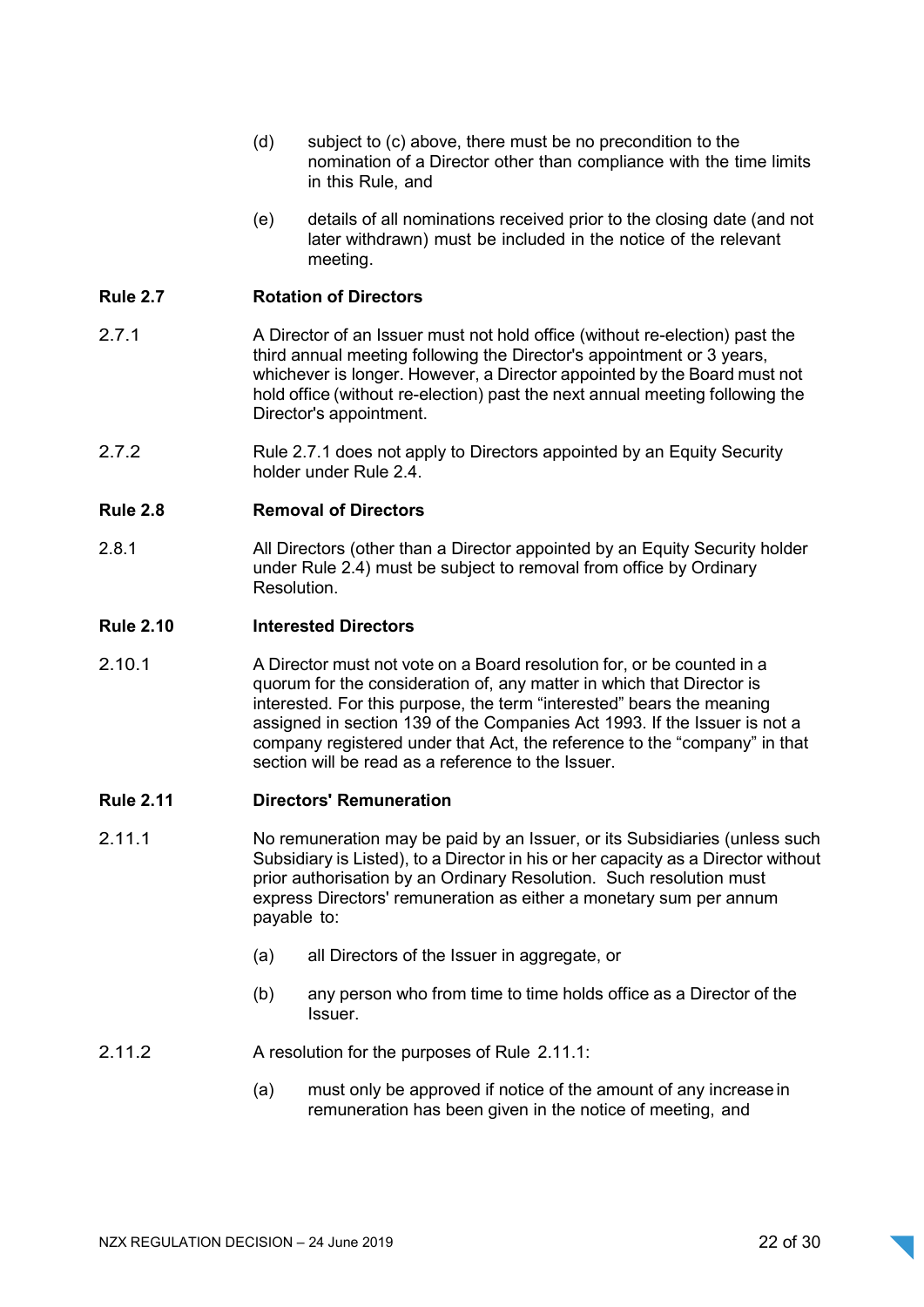- (d) subject to (c) above, there must be no precondition to the nomination of a Director other than compliance with the time limits in this Rule, and
- (e) details of all nominations received prior to the closing date (and not later withdrawn) must be included in the notice of the relevant meeting.

### Rule 2.7 Rotation of Directors

- 2.7.1 A Director of an Issuer must not hold office (without re-election) past the third annual meeting following the Director's appointment or 3 years, whichever is longer. However, a Director appointed by the Board must not hold office (without re-election) past the next annual meeting following the Director's appointment.
- 2.7.2 Rule 2.7.1 does not apply to Directors appointed by an Equity Security holder under Rule 2.4.

#### Rule 2.8 Removal of Directors

2.8.1 **All Directors (other than a Director appointed by an Equity Security holder** under Rule 2.4) must be subject to removal from office by Ordinary Resolution.

#### Rule 2.10 Interested Directors

2.10.1 A Director must not vote on a Board resolution for, or be counted in a quorum for the consideration of, any matter in which that Director is interested. For this purpose, the term "interested" bears the meaning assigned in section 139 of the Companies Act 1993. If the Issuer is not a company registered under that Act, the reference to the "company" in that section will be read as a reference to the Issuer.

#### Rule 2.11 Directors' Remuneration

- 2.11.1 No remuneration may be paid by an Issuer, or its Subsidiaries (unless such Subsidiary is Listed), to a Director in his or her capacity as a Director without prior authorisation by an Ordinary Resolution. Such resolution must express Directors' remuneration as either a monetary sum per annum payable to:
	- (a) all Directors of the Issuer in aggregate, or
	- (b) any person who from time to time holds office as a Director of the Issuer.
- 2.11.2 A resolution for the purposes of Rule 2.11.1:
	- (a) must only be approved if notice of the amount of any increase in remuneration has been given in the notice of meeting, and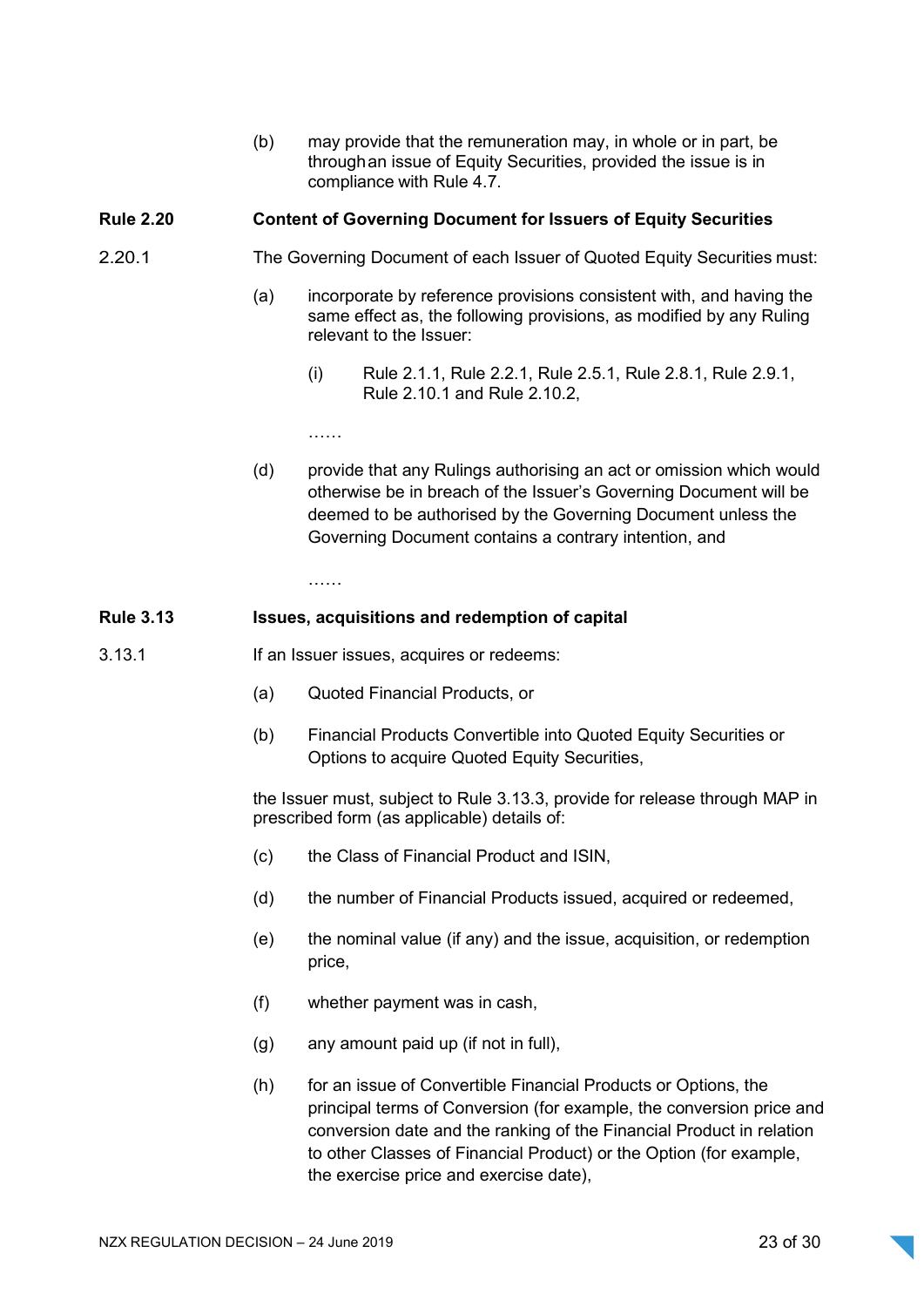(b) may provide that the remuneration may, in whole or in part, be through an issue of Equity Securities, provided the issue is in compliance with Rule 4.7.

### Rule 2.20 Content of Governing Document for Issuers of Equity Securities

- 2.20.1 The Governing Document of each Issuer of Quoted Equity Securities must:
	- (a) incorporate by reference provisions consistent with, and having the same effect as, the following provisions, as modified by any Ruling relevant to the Issuer:
		- (i) Rule 2.1.1, Rule 2.2.1, Rule 2.5.1, Rule 2.8.1, Rule 2.9.1, Rule 2.10.1 and Rule 2.10.2,

……

(d) provide that any Rulings authorising an act or omission which would otherwise be in breach of the Issuer's Governing Document will be deemed to be authorised by the Governing Document unless the Governing Document contains a contrary intention, and

………

#### Rule 3.13 **ISSUES, acquisitions and redemption of capital**

- 3.13.1 If an Issuer issues, acquires or redeems:
	- (a) Quoted Financial Products, or
	- (b) Financial Products Convertible into Quoted Equity Securities or Options to acquire Quoted Equity Securities,

the Issuer must, subject to Rule 3.13.3, provide for release through MAP in prescribed form (as applicable) details of:

- (c) the Class of Financial Product and ISIN,
- (d) the number of Financial Products issued, acquired or redeemed,
- (e) the nominal value (if any) and the issue, acquisition, or redemption price,
- (f) whether payment was in cash,
- (g) any amount paid up (if not in full),
- (h) for an issue of Convertible Financial Products or Options, the principal terms of Conversion (for example, the conversion price and conversion date and the ranking of the Financial Product in relation to other Classes of Financial Product) or the Option (for example, the exercise price and exercise date),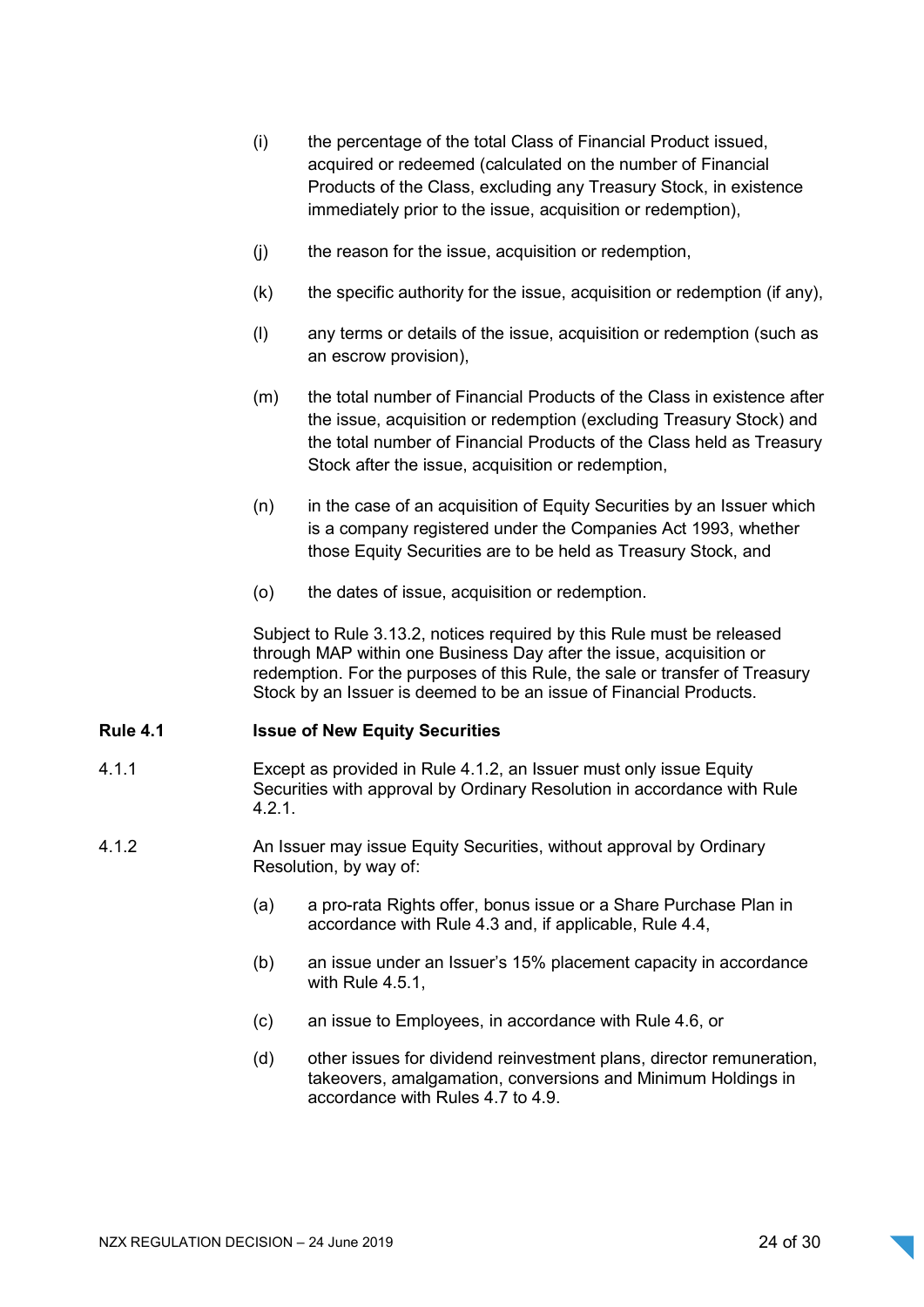- (i) the percentage of the total Class of Financial Product issued, acquired or redeemed (calculated on the number of Financial Products of the Class, excluding any Treasury Stock, in existence immediately prior to the issue, acquisition or redemption),
- (j) the reason for the issue, acquisition or redemption,
- $(k)$  the specific authority for the issue, acquisition or redemption (if any),
- (l) any terms or details of the issue, acquisition or redemption (such as an escrow provision),
- (m) the total number of Financial Products of the Class in existence after the issue, acquisition or redemption (excluding Treasury Stock) and the total number of Financial Products of the Class held as Treasury Stock after the issue, acquisition or redemption,
- (n) in the case of an acquisition of Equity Securities by an Issuer which is a company registered under the Companies Act 1993, whether those Equity Securities are to be held as Treasury Stock, and
- (o) the dates of issue, acquisition or redemption.

Subject to Rule 3.13.2, notices required by this Rule must be released through MAP within one Business Day after the issue, acquisition or redemption. For the purposes of this Rule, the sale or transfer of Treasury Stock by an Issuer is deemed to be an issue of Financial Products.

#### Rule 4.1 Issue of New Equity Securities

- 4.1.1 Except as provided in Rule 4.1.2, an Issuer must only issue Equity Securities with approval by Ordinary Resolution in accordance with Rule 4.2.1.
- 4.1.2 An Issuer may issue Equity Securities, without approval by Ordinary Resolution, by way of:
	- (a) a pro-rata Rights offer, bonus issue or a Share Purchase Plan in accordance with Rule 4.3 and, if applicable, Rule 4.4,
	- (b) an issue under an Issuer's 15% placement capacity in accordance with Rule 4.5.1,
	- (c) an issue to Employees, in accordance with Rule 4.6, or
	- (d) other issues for dividend reinvestment plans, director remuneration, takeovers, amalgamation, conversions and Minimum Holdings in accordance with Rules 4.7 to 4.9.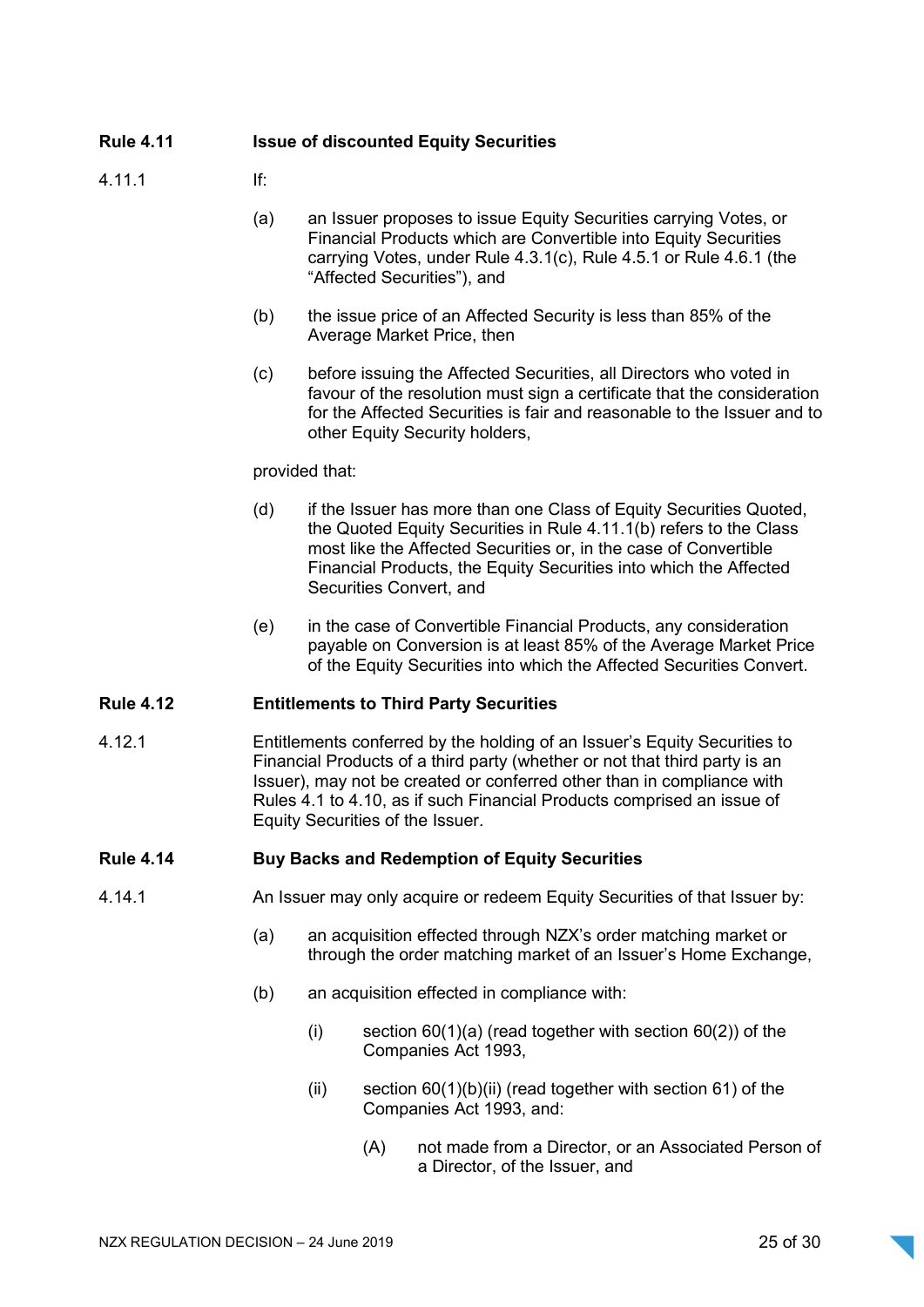| <b>Rule 4.11</b> |                                              |
|------------------|----------------------------------------------|
|                  | <b>Issue of discounted Equity Securities</b> |

- 4.11.1 If:
	- (a) an Issuer proposes to issue Equity Securities carrying Votes, or Financial Products which are Convertible into Equity Securities carrying Votes, under Rule 4.3.1(c), Rule 4.5.1 or Rule 4.6.1 (the "Affected Securities"), and
	- (b) the issue price of an Affected Security is less than 85% of the Average Market Price, then
	- (c) before issuing the Affected Securities, all Directors who voted in favour of the resolution must sign a certificate that the consideration for the Affected Securities is fair and reasonable to the Issuer and to other Equity Security holders,

#### provided that:

- (d) if the Issuer has more than one Class of Equity Securities Quoted, the Quoted Equity Securities in Rule 4.11.1(b) refers to the Class most like the Affected Securities or, in the case of Convertible Financial Products, the Equity Securities into which the Affected Securities Convert, and
- (e) in the case of Convertible Financial Products, any consideration payable on Conversion is at least 85% of the Average Market Price of the Equity Securities into which the Affected Securities Convert.

### Rule 4.12 Entitlements to Third Party Securities

4.12.1 Entitlements conferred by the holding of an Issuer's Equity Securities to Financial Products of a third party (whether or not that third party is an Issuer), may not be created or conferred other than in compliance with Rules 4.1 to 4.10, as if such Financial Products comprised an issue of Equity Securities of the Issuer.

#### Rule 4.14 Buy Backs and Redemption of Equity Securities

- 4.14.1 An Issuer may only acquire or redeem Equity Securities of that Issuer by:
	- (a) an acquisition effected through NZX's order matching market or through the order matching market of an Issuer's Home Exchange,
	- (b) an acquisition effected in compliance with:
		- (i) section  $60(1)(a)$  (read together with section  $60(2)$ ) of the Companies Act 1993,
		- (ii) section  $60(1)(b)(ii)$  (read together with section 61) of the Companies Act 1993, and:
			- (A) not made from a Director, or an Associated Person of a Director, of the Issuer, and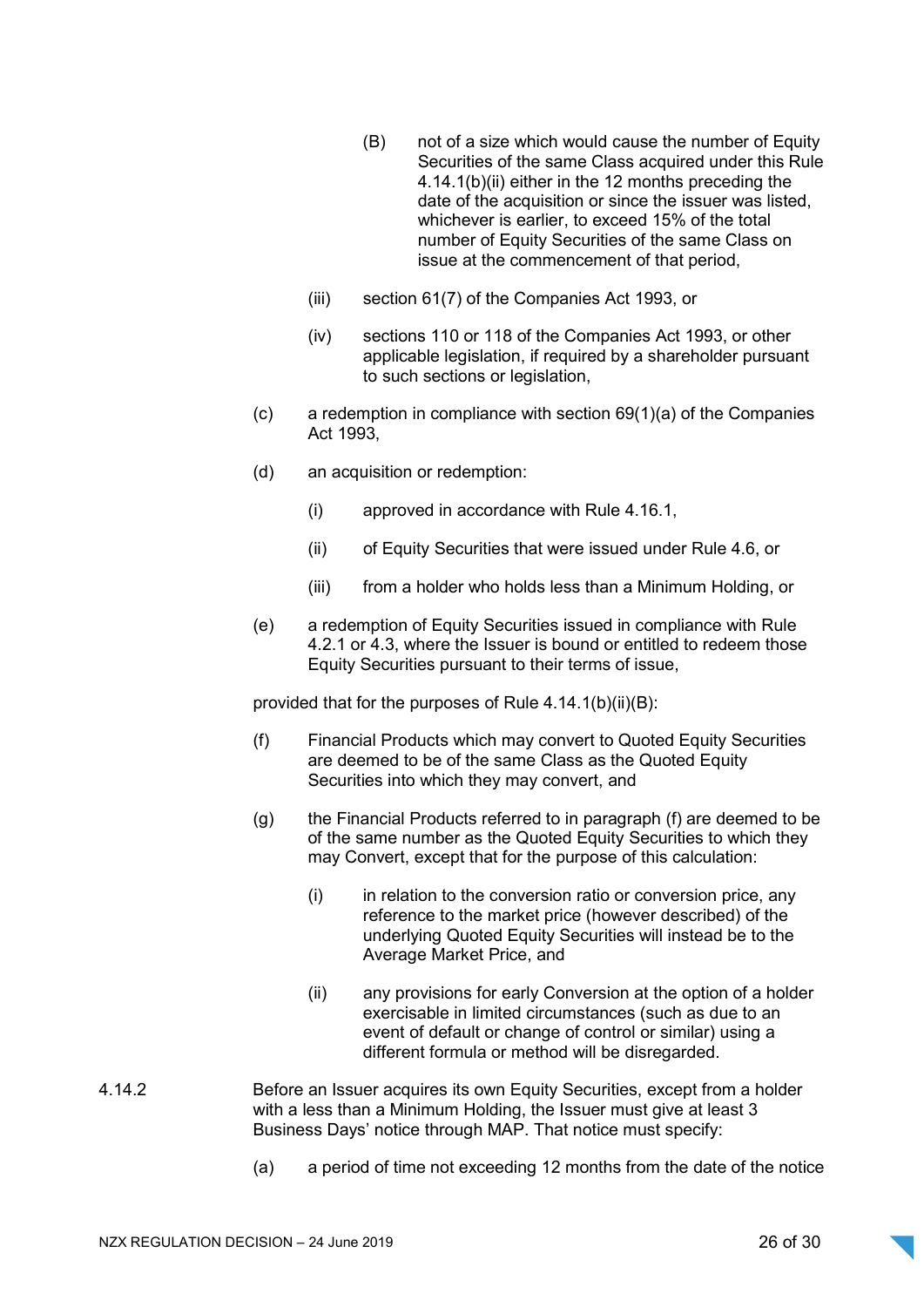- (B) not of a size which would cause the number of Equity Securities of the same Class acquired under this Rule 4.14.1(b)(ii) either in the 12 months preceding the date of the acquisition or since the issuer was listed, whichever is earlier, to exceed 15% of the total number of Equity Securities of the same Class on issue at the commencement of that period,
- (iii) section 61(7) of the Companies Act 1993, or
- (iv) sections 110 or 118 of the Companies Act 1993, or other applicable legislation, if required by a shareholder pursuant to such sections or legislation,
- $(c)$  a redemption in compliance with section  $69(1)(a)$  of the Companies Act 1993,
- (d) an acquisition or redemption:
	- (i) approved in accordance with Rule 4.16.1,
	- (ii) of Equity Securities that were issued under Rule 4.6, or
	- (iii) from a holder who holds less than a Minimum Holding, or
- (e) a redemption of Equity Securities issued in compliance with Rule 4.2.1 or 4.3, where the Issuer is bound or entitled to redeem those Equity Securities pursuant to their terms of issue,

provided that for the purposes of Rule 4.14.1(b)(ii)(B):

- (f) Financial Products which may convert to Quoted Equity Securities are deemed to be of the same Class as the Quoted Equity Securities into which they may convert, and
- (g) the Financial Products referred to in paragraph (f) are deemed to be of the same number as the Quoted Equity Securities to which they may Convert, except that for the purpose of this calculation:
	- $(i)$  in relation to the conversion ratio or conversion price, any reference to the market price (however described) of the underlying Quoted Equity Securities will instead be to the Average Market Price, and
	- (ii) any provisions for early Conversion at the option of a holder exercisable in limited circumstances (such as due to an event of default or change of control or similar) using a different formula or method will be disregarded.
- 4.14.2 Before an Issuer acquires its own Equity Securities, except from a holder with a less than a Minimum Holding, the Issuer must give at least 3 Business Days' notice through MAP. That notice must specify:
	- (a) a period of time not exceeding 12 months from the date of the notice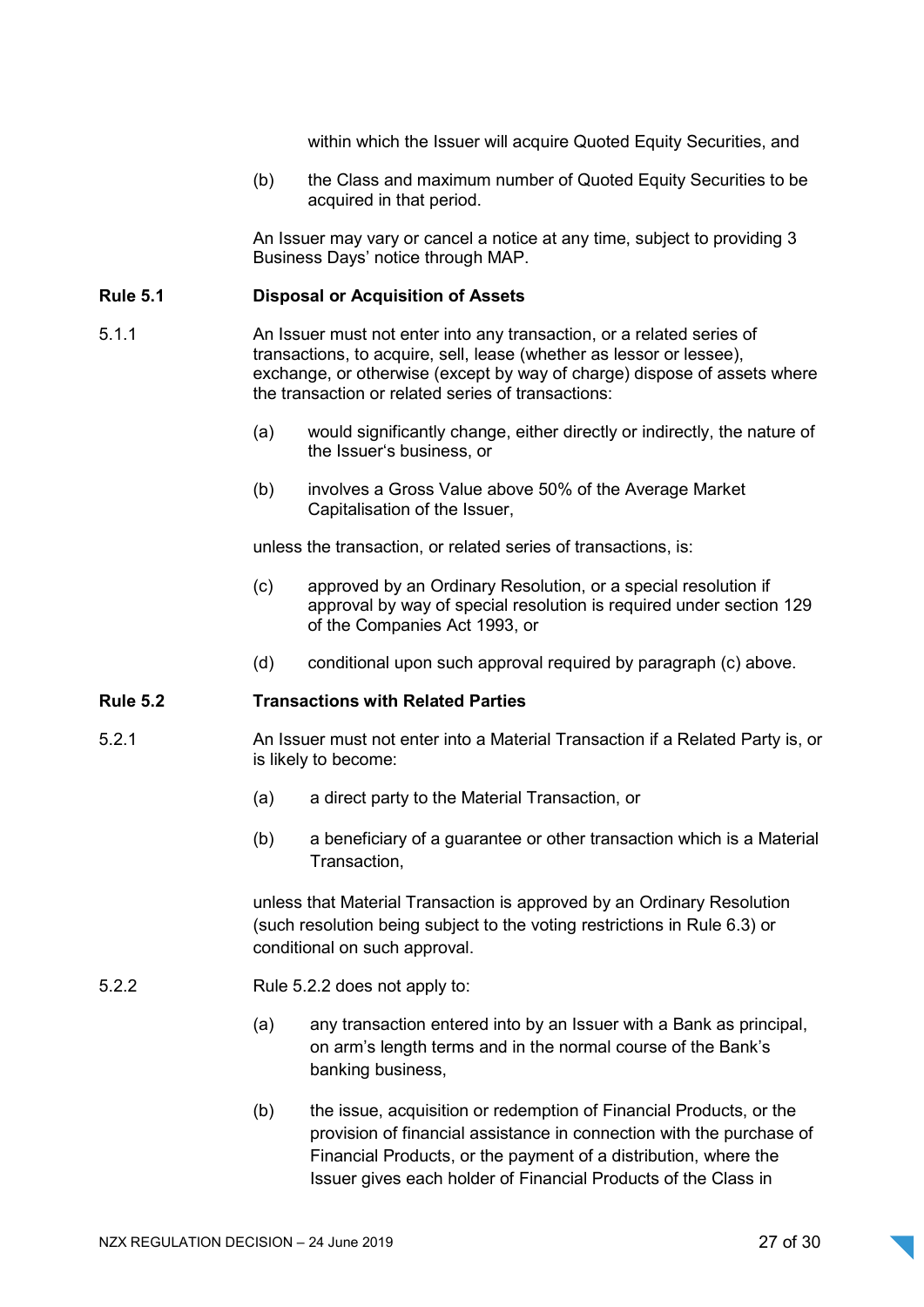within which the Issuer will acquire Quoted Equity Securities, and

(b) the Class and maximum number of Quoted Equity Securities to be acquired in that period.

An Issuer may vary or cancel a notice at any time, subject to providing 3 Business Days' notice through MAP.

#### Rule 5.1 Disposal or Acquisition of Assets

- 5.1.1 An Issuer must not enter into any transaction, or a related series of transactions, to acquire, sell, lease (whether as lessor or lessee), exchange, or otherwise (except by way of charge) dispose of assets where the transaction or related series of transactions:
	- (a) would significantly change, either directly or indirectly, the nature of the Issuer's business, or
	- (b) involves a Gross Value above 50% of the Average Market Capitalisation of the Issuer,

unless the transaction, or related series of transactions, is:

- (c) approved by an Ordinary Resolution, or a special resolution if approval by way of special resolution is required under section 129 of the Companies Act 1993, or
- (d) conditional upon such approval required by paragraph (c) above.

#### Rule 5.2 Transactions with Related Parties

- 5.2.1 An Issuer must not enter into a Material Transaction if a Related Party is, or is likely to become:
	- (a) a direct party to the Material Transaction, or
	- (b) a beneficiary of a guarantee or other transaction which is a Material Transaction,

unless that Material Transaction is approved by an Ordinary Resolution (such resolution being subject to the voting restrictions in Rule 6.3) or conditional on such approval.

- 5.2.2 Rule 5.2.2 does not apply to:
	- (a) any transaction entered into by an Issuer with a Bank as principal, on arm's length terms and in the normal course of the Bank's banking business,
	- (b) the issue, acquisition or redemption of Financial Products, or the provision of financial assistance in connection with the purchase of Financial Products, or the payment of a distribution, where the Issuer gives each holder of Financial Products of the Class in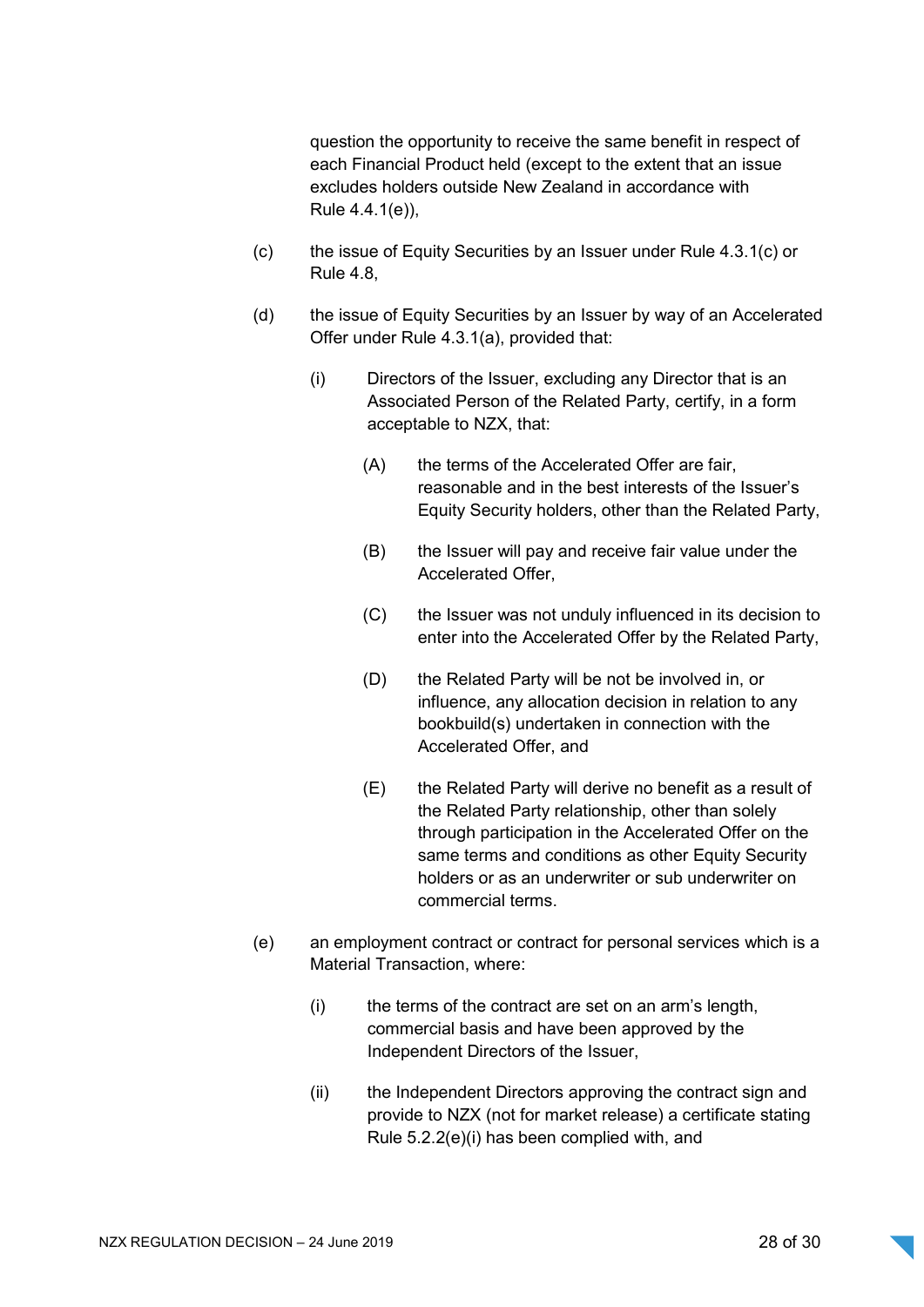question the opportunity to receive the same benefit in respect of each Financial Product held (except to the extent that an issue excludes holders outside New Zealand in accordance with Rule 4.4.1(e)),

- (c) the issue of Equity Securities by an Issuer under Rule 4.3.1(c) or Rule 4.8,
- (d) the issue of Equity Securities by an Issuer by way of an Accelerated Offer under Rule 4.3.1(a), provided that:
	- (i) Directors of the Issuer, excluding any Director that is an Associated Person of the Related Party, certify, in a form acceptable to NZX, that:
		- (A) the terms of the Accelerated Offer are fair, reasonable and in the best interests of the Issuer's Equity Security holders, other than the Related Party,
		- (B) the Issuer will pay and receive fair value under the Accelerated Offer,
		- (C) the Issuer was not unduly influenced in its decision to enter into the Accelerated Offer by the Related Party,
		- (D) the Related Party will be not be involved in, or influence, any allocation decision in relation to any bookbuild(s) undertaken in connection with the Accelerated Offer, and
		- (E) the Related Party will derive no benefit as a result of the Related Party relationship, other than solely through participation in the Accelerated Offer on the same terms and conditions as other Equity Security holders or as an underwriter or sub underwriter on commercial terms.
- (e) an employment contract or contract for personal services which is a Material Transaction, where:
	- (i) the terms of the contract are set on an arm's length, commercial basis and have been approved by the Independent Directors of the Issuer,
	- (ii) the Independent Directors approving the contract sign and provide to NZX (not for market release) a certificate stating Rule 5.2.2(e)(i) has been complied with, and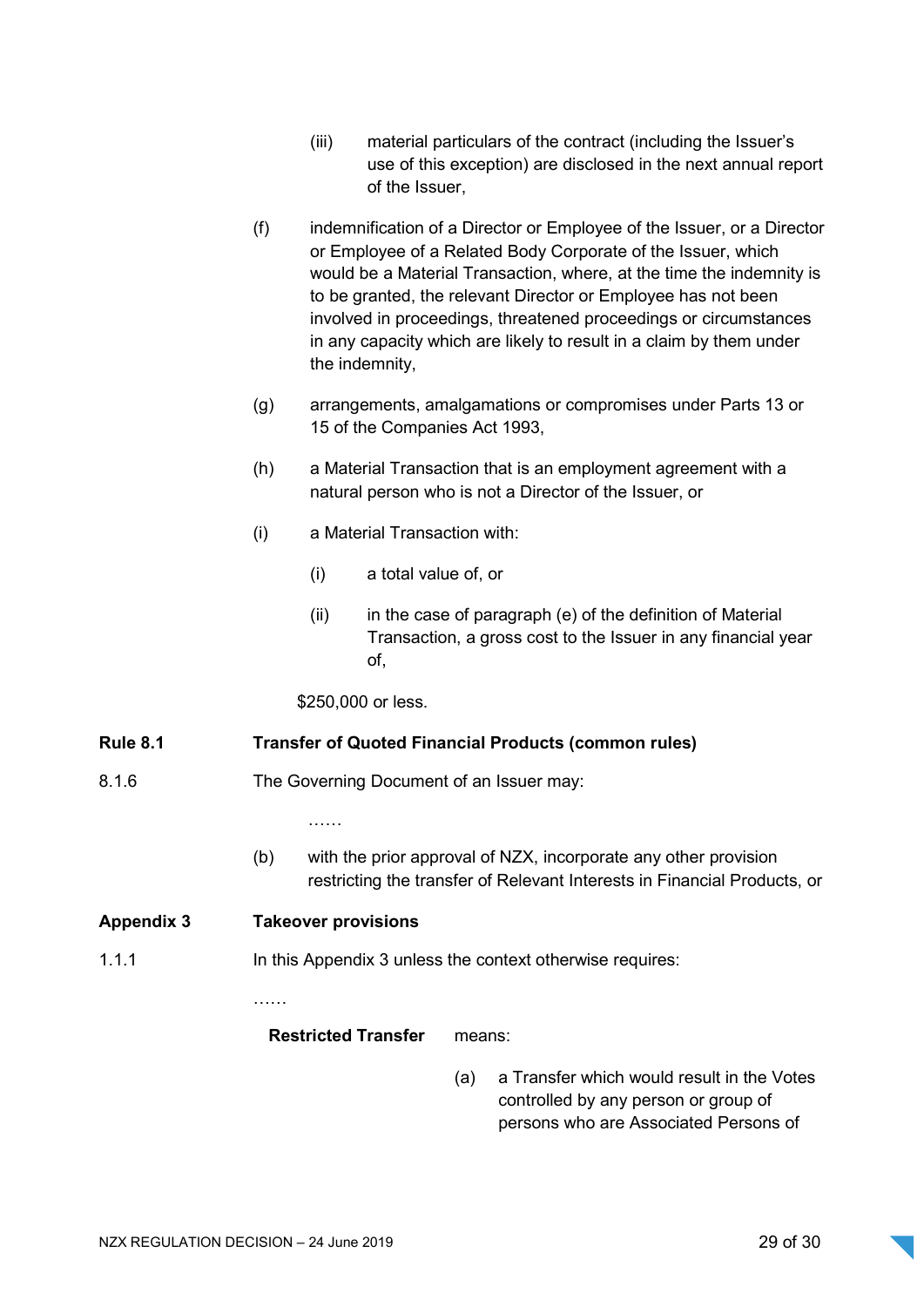- (iii) material particulars of the contract (including the Issuer's use of this exception) are disclosed in the next annual report of the Issuer,
- (f) indemnification of a Director or Employee of the Issuer, or a Director or Employee of a Related Body Corporate of the Issuer, which would be a Material Transaction, where, at the time the indemnity is to be granted, the relevant Director or Employee has not been involved in proceedings, threatened proceedings or circumstances in any capacity which are likely to result in a claim by them under the indemnity,
- (g) arrangements, amalgamations or compromises under Parts 13 or 15 of the Companies Act 1993,
- (h) a Material Transaction that is an employment agreement with a natural person who is not a Director of the Issuer, or
- (i) a Material Transaction with:
	- (i) a total value of, or
	- $(ii)$  in the case of paragraph (e) of the definition of Material Transaction, a gross cost to the Issuer in any financial year of,

\$250,000 or less.

### Rule 8.1 Transfer of Quoted Financial Products (common rules)

8.1.6 The Governing Document of an Issuer may:

……

(b) with the prior approval of NZX, incorporate any other provision restricting the transfer of Relevant Interests in Financial Products, or

### Appendix 3 Takeover provisions

……

1.1.1 **In this Appendix 3 unless the context otherwise requires:** 

Restricted Transfer means:

(a) a Transfer which would result in the Votes controlled by any person or group of persons who are Associated Persons of